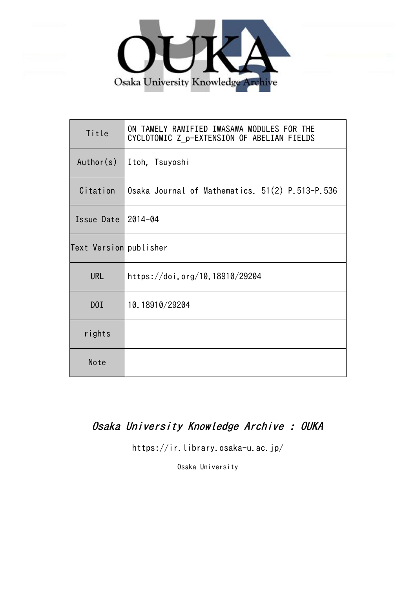

| Title                  | ON TAMELY RAMIFIED IWASAWA MODULES FOR THE<br>CYCLOTOMIC Z p-EXTENSION OF ABELIAN FIELDS |
|------------------------|------------------------------------------------------------------------------------------|
| Author(s)              | Itoh, Tsuyoshi                                                                           |
| Citation               | Osaka Journal of Mathematics. 51(2) P.513-P.536                                          |
| Issue Date             | $2014 - 04$                                                                              |
| Text Version publisher |                                                                                          |
| <b>URL</b>             | https://doi.org/10.18910/29204                                                           |
| D0I                    | 10.18910/29204                                                                           |
| rights                 |                                                                                          |
| Note                   |                                                                                          |

# Osaka University Knowledge Archive : OUKA

https://ir.library.osaka-u.ac.jp/

Osaka University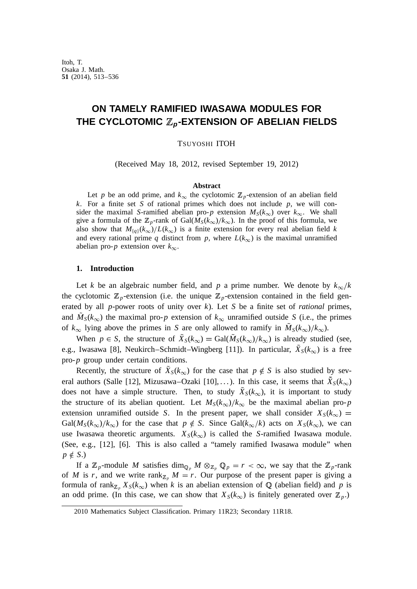# **ON TAMELY RAMIFIED IWASAWA MODULES FOR THE CYCLOTOMIC** <sup>Z</sup>**<sup>p</sup>-EXTENSION OF ABELIAN FIELDS**

TSUYOSHI ITOH

(Received May 18, 2012, revised September 19, 2012)

### **Abstract**

Let *p* be an odd prime, and  $k_{\infty}$  the cyclotomic  $\mathbb{Z}_p$ -extension of an abelian field *k*. For a finite set *S* of rational primes which does not include *p*, we will consider the maximal *S*-ramified abelian pro-*p* extension  $M_S(k_\infty)$  over  $k_\infty$ . We shall give a formula of the  $\mathbb{Z}_p$ -rank of Gal $(M_S(k_{\infty})/k_{\infty})$ . In the proof of this formula, we also show that  $M_{\{q\}}(k_{\infty})/L(k_{\infty})$  is a finite extension for every real abelian field *k* and every rational prime *q* distinct from *p*, where  $L(k_{\infty})$  is the maximal unramified abelian pro- $p$  extension over  $k_{\infty}$ .

#### **1. Introduction**

Let *k* be an algebraic number field, and *p* a prime number. We denote by  $k_{\infty}/k$ the cyclotomic  $\mathbb{Z}_p$ -extension (i.e. the unique  $\mathbb{Z}_p$ -extension contained in the field generated by all *p*-power roots of unity over *k*). Let *S* be a finite set of *rational* primes, and  $M_S(k_\infty)$  the maximal pro-*p* extension of  $k_\infty$  unramified outside *S* (i.e., the primes of  $k_{\infty}$  lying above the primes in *S* are only allowed to ramify in  $M_S(k_{\infty})/k_{\infty}$ ).

When  $p \in S$ , the structure of  $X_S(k_\infty) = \text{Gal}(M_S(k_\infty)/k_\infty)$  is already studied (see, e.g., Iwasawa [8], Neukirch–Schmidt–Wingberg [11]). In particular,  $X_S(k_\infty)$  is a free pro-*p* group under certain conditions.

Recently, the structure of  $X_S(k_\infty)$  for the case that  $p \notin S$  is also studied by several authors (Salle [12], Mizusawa–Ozaki [10],...). In this case, it seems that  $X_S(k_\infty)$ does not have a simple structure. Then, to study  $X_S(k_\infty)$ , it is important to study the structure of its abelian quotient. Let  $M_S(k_\infty)/k_\infty$  be the maximal abelian pro-*p* extension unramified outside *S*. In the present paper, we shall consider  $X_S(k_\infty)$  =  $Gal(M_S(k_{\infty})/k_{\infty})$  for the case that  $p \notin S$ . Since  $Gal(k_{\infty}/k)$  acts on  $X_S(k_{\infty})$ , we can use Iwasawa theoretic arguments.  $X_S(k_\infty)$  is called the *S*-ramified Iwasawa module. (See, e.g., [12], [6]. This is also called a "tamely ramified Iwasawa module" when  $p \notin S$ .)

If a  $\mathbb{Z}_p$ -module M satisfies  $\dim_{\mathbb{Q}_p} M \otimes_{\mathbb{Z}_p} \mathbb{Q}_p = r < \infty$ , we say that the  $\mathbb{Z}_p$ -rank of *M* is *r*, and we write rank<sub>Z<sub>p</sub></sub>  $M = r$ . Our purpose of the present paper is giving a formula of rank<sub> $\mathbb{Z}_p$ </sub>  $X_S(k_\infty)$  when *k* is an abelian extension of Q (abelian field) and *p* is an odd prime. (In this case, we can show that  $X_S(k_\infty)$  is finitely generated over  $\mathbb{Z}_p$ .)

<sup>2010</sup> Mathematics Subject Classification. Primary 11R23; Secondary 11R18.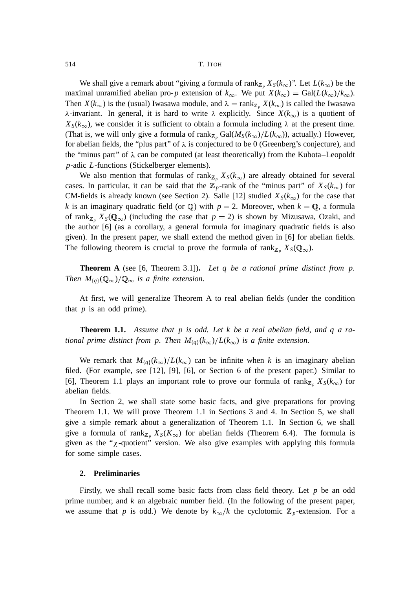We shall give a remark about "giving a formula of rank<sub>Z<sub>p</sub></sub>  $X_S(k_\infty)$ ". Let  $L(k_\infty)$  be the maximal unramified abelian pro-*p* extension of  $k_{\infty}$ . We put  $X(k_{\infty}) = \text{Gal}(L(k_{\infty})/k_{\infty})$ . Then  $X(k_{\infty})$  is the (usual) Iwasawa module, and  $\lambda = \text{rank}_{\mathbb{Z}_p} X(k_{\infty})$  is called the Iwasawa  $\lambda$ -invariant. In general, it is hard to write  $\lambda$  explicitly. Since  $X(k_{\infty})$  is a quotient of  $X_S(k_\infty)$ , we consider it is sufficient to obtain a formula including  $\lambda$  at the present time. (That is, we will only give a formula of rank<sub>Z</sub><sub>p</sub> Gal( $M_S(k_\infty)/L(k_\infty)$ ), actually.) However, for abelian fields, the "plus part" of  $\lambda$  is conjectured to be 0 (Greenberg's conjecture), and the "minus part" of  $\lambda$  can be computed (at least theoretically) from the Kubota–Leopoldt *p*-adic *L*-functions (Stickelberger elements).

We also mention that formulas of rank $Z_p$ ,  $X_s(k_\infty)$  are already obtained for several cases. In particular, it can be said that the  $\mathbb{Z}_p$ -rank of the "minus part" of  $X_s(k_\infty)$  for CM-fields is already known (see Section 2). Salle [12] studied  $X_S(k_\infty)$  for the case that *k* is an imaginary quadratic field (or  $\mathbb{Q}$ ) with  $p = 2$ . Moreover, when  $k = \mathbb{Q}$ , a formula of rank<sub>Z</sub><sub>p</sub>  $X_S(\mathbb{Q}_{\infty})$  (including the case that  $p = 2$ ) is shown by Mizusawa, Ozaki, and the author [6] (as a corollary, a general formula for imaginary quadratic fields is also given). In the present paper, we shall extend the method given in [6] for abelian fields. The following theorem is crucial to prove the formula of rank<sub>Z</sub><sub>p</sub></sub>  $X_S(\mathbb{Q}_{\infty})$ .

**Theorem A** (see [6, Theorem 3.1])**.** *Let q be a rational prime distinct from p. Then*  $M_{\{q\}}(\mathbb{Q}_{\infty})/\mathbb{Q}_{\infty}$  *is a finite extension.* 

At first, we will generalize Theorem A to real abelian fields (under the condition that *p* is an odd prime).

**Theorem 1.1.** *Assume that p is odd. Let k be a real abelian field*, *and q a rational prime distinct from p. Then*  $M_{\{q\}}(k_{\infty})/L(k_{\infty})$  *is a finite extension.* 

We remark that  $M_{\{q\}}(k_\infty)/L(k_\infty)$  can be infinite when *k* is an imaginary abelian filed. (For example, see [12], [9], [6], or Section 6 of the present paper.) Similar to [6], Theorem 1.1 plays an important role to prove our formula of rank<sub>Z</sub><sub>p</sub>  $X_S(k_{\infty})$  for abelian fields.

In Section 2, we shall state some basic facts, and give preparations for proving Theorem 1.1. We will prove Theorem 1.1 in Sections 3 and 4. In Section 5, we shall give a simple remark about a generalization of Theorem 1.1. In Section 6, we shall give a formula of rank<sub> $\mathbb{Z}_p$ </sub>  $X_S(K_\infty)$  for abelian fields (Theorem 6.4). The formula is given as the " $\chi$ -quotient" version. We also give examples with applying this formula for some simple cases.

# **2. Preliminaries**

Firstly, we shall recall some basic facts from class field theory. Let *p* be an odd prime number, and *k* an algebraic number field. (In the following of the present paper, we assume that *p* is odd.) We denote by  $k_{\infty}/k$  the cyclotomic  $\mathbb{Z}_p$ -extension. For a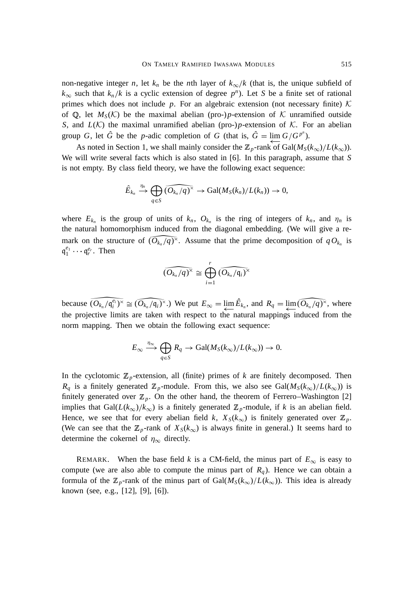non-negative integer *n*, let  $k_n$  be the *n*th layer of  $k_{\infty}/k$  (that is, the unique subfield of  $k_{\infty}$  such that  $k_n/k$  is a cyclic extension of degree  $p^n$ ). Let *S* be a finite set of rational primes which does not include  $p$ . For an algebraic extension (not necessary finite)  $K$ of  $\mathbb{Q}$ , let  $M_S(\mathcal{K})$  be the maximal abelian (pro-)*p*-extension of K unramified outside *S*, and  $L(K)$  the maximal unramified abelian (pro-)*p*-extension of K. For an abelian group *G*, let  $\hat{G}$  be the *p*-adic completion of *G* (that is,  $\hat{G} = \lim G/G^{p^n}$ ).

As noted in Section 1, we shall mainly consider the  $\mathbb{Z}_p$ -rank of Gal( $M_S(k_\infty)/L(k_\infty)$ ). We will write several facts which is also stated in [6]. In this paragraph, assume that *S* is not empty. By class field theory, we have the following exact sequence:

$$
\hat{E}_{k_n} \stackrel{\eta_n}{\rightarrow} \bigoplus_{q \in S} (\widehat{O_{k_n}/q})^{\times} \rightarrow \text{Gal}(M_S(k_n)/L(k_n)) \rightarrow 0,
$$

where  $E_{k_n}$  is the group of units of  $k_n$ ,  $O_{k_n}$  is the ring of integers of  $k_n$ , and  $\eta_n$  is the natural homomorphism induced from the diagonal embedding. (We will give a remark on the structure of  $(O_{k_n}/q)^\times$ . Assume that the prime decomposition of  $q O_{k_n}$  is  $\mathfrak{q}_1^{e_1} \cdots \mathfrak{q}_r^{e_r}$ . Then

$$
\widehat{(O_{k_n}/q)^\times} \cong \bigoplus_{i=1}^r \widehat{(O_{k_n}/\mathfrak{q}_i)^\times}
$$

because  $\widehat{(O_{k_n}/\mathfrak{q}_i^{\ell_i})^{\times}} \cong \widehat{(O_{k_n}/\mathfrak{q}_i)^{\times}}$ .) We put  $E_{\infty} = \varprojlim \hat{E}_{k_n}$ , and  $R_q = \varprojlim \widehat{(O_{k_n}/q)^{\times}}$ , where the projective limits are taken with respect to the natural mappings induced from the norm mapping. Then we obtain the following exact sequence:

$$
E_{\infty} \xrightarrow{\eta_{\infty}} \bigoplus_{q \in S} R_q \to \text{Gal}(M_S(k_{\infty})/L(k_{\infty})) \to 0.
$$

In the cyclotomic  $\mathbb{Z}_p$ -extension, all (finite) primes of *k* are finitely decomposed. Then  $R_q$  is a finitely generated  $\mathbb{Z}_p$ -module. From this, we also see Gal( $M_S(k_\infty)/L(k_\infty)$ ) is finitely generated over  $\mathbb{Z}_p$ . On the other hand, the theorem of Ferrero–Washington [2] implies that Gal( $L(k_{\infty})/k_{\infty}$ ) is a finitely generated  $\mathbb{Z}_p$ -module, if *k* is an abelian field. Hence, we see that for every abelian field *k*,  $X_S(k_\infty)$  is finitely generated over  $\mathbb{Z}_p$ . (We can see that the  $\mathbb{Z}_p$ -rank of  $X_S(k_\infty)$  is always finite in general.) It seems hard to determine the cokernel of  $\eta_{\infty}$  directly.

REMARK. When the base field *k* is a CM-field, the minus part of  $E_{\infty}$  is easy to compute (we are also able to compute the minus part of  $R_q$ ). Hence we can obtain a formula of the  $\mathbb{Z}_p$ -rank of the minus part of Gal $(M_S(k_\infty)/L(k_\infty))$ . This idea is already known (see, e.g., [12], [9], [6]).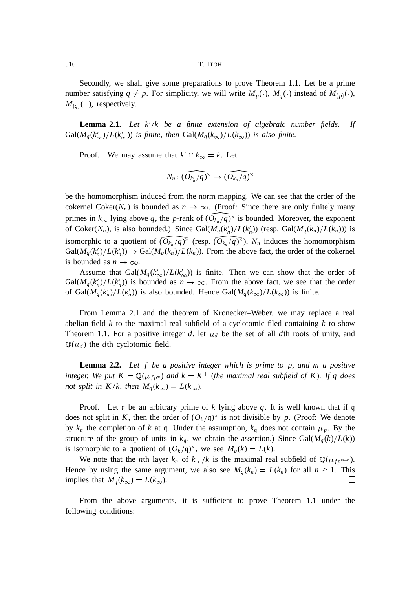Secondly, we shall give some preparations to prove Theorem 1.1. Let be a prime number satisfying  $q \neq p$ . For simplicity, we will write  $M_p(\cdot)$ ,  $M_q(\cdot)$  instead of  $M_{\{p\}}(\cdot)$ ,  $M_{\{q\}}(\cdot)$ , respectively.

**Lemma 2.1.** Let  $k'/k$  be a finite extension of algebraic number fields. If  $Gal(M_q(k'_{\infty})/L(k'_{\infty}))$  *is finite, then*  $Gal(M_q(k_{\infty})/L(k_{\infty}))$  *is also finite.* 

Proof. We may assume that  $k' \cap k_\infty = k$ . Let

$$
N_n: \widehat{(O_{k_n}/q)^\times} \to \widehat{(O_{k_n}/q)^\times}
$$

be the homomorphism induced from the norm mapping. We can see that the order of the cokernel Coker( $N_n$ ) is bounded as  $n \to \infty$ . (Proof: Since there are only finitely many primes in  $k_{\infty}$  lying above q, the *p*-rank of  $(O_{k_n}/q)^{\times}$  is bounded. Moreover, the exponent of Coker( $N_n$ ), is also bounded.) Since Gal( $M_q(k'_n)/L(k'_n)$ ) (resp. Gal( $M_q(k_n)/L(k_n)$ )) is isomorphic to a quotient of  $(O_{k_n}/q)^\times$  (resp.  $(O_{k_n}/q)^\times$ ),  $N_n$  induces the homomorphism  $Gal(M_q(k'_n)/L(k'_n)) \rightarrow Gal(M_q(k_n)/L(k_n))$ . From the above fact, the order of the cokernel is bounded as  $n \to \infty$ .

Assume that  $Gal(M_q(k'_{\infty})/L(k'_{\infty}))$  is finite. Then we can show that the order of  $Gal(M_q(k'_n)/L(k'_n))$  is bounded as  $n \to \infty$ . From the above fact, we see that the order of Gal $(M_q(k'_n)/L(k'_n))$  is also bounded. Hence Gal $(M_q(k_\infty)/L(k_\infty))$  is finite.  $\Box$ 

From Lemma 2.1 and the theorem of Kronecker–Weber, we may replace a real abelian field  $k$  to the maximal real subfield of a cyclotomic filed containing  $k$  to show Theorem 1.1. For a positive integer  $d$ , let  $\mu_d$  be the set of all  $d$ th roots of unity, and  $\mathbb{Q}(\mu_d)$  the *d*th cyclotomic field.

**Lemma 2.2.** *Let f be a positive integer which is prime to p*, *and m a positive integer.* We put  $K = \mathbb{Q}(\mu_{fp^m})$  and  $k = K^+$  (the maximal real subfield of K). If q does *not split in K*/*k*, *then*  $M_q(k_\infty) = L(k_\infty)$ *.* 

Proof. Let q be an arbitrary prime of  $k$  lying above  $q$ . It is well known that if q does not split in K, then the order of  $(O_k/q)^\times$  is not divisible by p. (Proof: We denote by  $k_q$  the completion of k at q. Under the assumption,  $k_q$  does not contain  $\mu_p$ . By the structure of the group of units in  $k_q$ , we obtain the assertion.) Since Gal $(M_q(k)/L(k))$ is isomorphic to a quotient of  $(O_k/q)^{\times}$ , we see  $M_q(k) = L(k)$ .

We note that the *n*th layer  $k_n$  of  $k_{\infty}/k$  is the maximal real subfield of  $\mathbb{Q}(\mu_{fp^{m+n}})$ . Hence by using the same argument, we also see  $M_q(k_n) = L(k_n)$  for all  $n \ge 1$ . This implies that  $M_q(k_\infty) = L(k_\infty)$ .  $\Box$ 

From the above arguments, it is sufficient to prove Theorem 1.1 under the following conditions: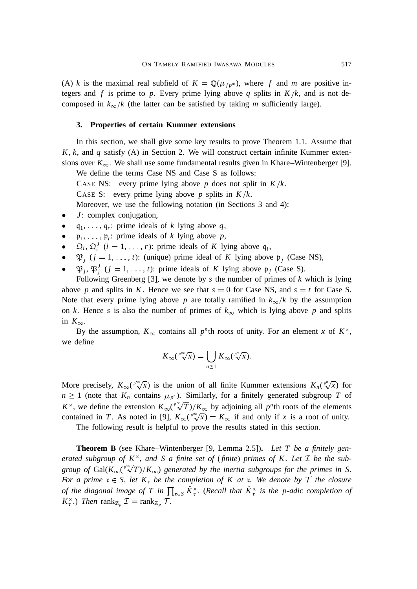(A) *k* is the maximal real subfield of  $K = \mathbb{Q}(\mu_{fp^m})$ , where f and m are positive integers and *f* is prime to *p*. Every prime lying above *q* splits in  $K/k$ , and is not decomposed in  $k_{\infty}/k$  (the latter can be satisfied by taking *m* sufficiently large).

## **3. Properties of certain Kummer extensions**

In this section, we shall give some key results to prove Theorem 1.1. Assume that *K*, *k*, and *q* satisfy (A) in Section 2. We will construct certain infinite Kummer extensions over  $K_{\infty}$ . We shall use some fundamental results given in Khare–Wintenberger [9].

We define the terms Case NS and Case S as follows:

CASE NS: every prime lying above  $p$  does not split in  $K/k$ .

CASE S: every prime lying above *p* splits in  $K/k$ .

Moreover, we use the following notation (in Sections 3 and 4):

- *J*: complex conjugation,
- $q_1, \ldots, q_r$ : prime ideals of *k* lying above *q*,
- $\mathfrak{p}_1, \ldots, \mathfrak{p}_t$ : prime ideals of *k* lying above *p*,
- $\mathfrak{Q}_i, \mathfrak{Q}_i^J$  (*i* = 1, ..., *r*): prime ideals of *K* lying above  $\mathfrak{q}_i$ ,
- $\mathfrak{P}_j$  ( $j = 1, ..., t$ ): (unique) prime ideal of *K* lying above  $\mathfrak{p}_j$  (Case NS),
- $\mathfrak{P}_j, \mathfrak{P}_j^J$   $(j = 1, \ldots, t)$ : prime ideals of *K* lying above  $\mathfrak{p}_j$  (Case S).

Following Greenberg [3], we denote by *s* the number of primes of *k* which is lying above *p* and splits in *K*. Hence we see that  $s = 0$  for Case NS, and  $s = t$  for Case S. Note that every prime lying above *p* are totally ramified in  $k_{\infty}/k$  by the assumption on *k*. Hence *s* is also the number of primes of  $k_{\infty}$  which is lying above *p* and splits in  $K_{\infty}$ .

By the assumption,  $K_{\infty}$  contains all p<sup>*n*</sup>th roots of unity. For an element *x* of  $K^{\times}$ , we define

$$
K_{\infty}(\sqrt[p^{\infty}]{x})=\bigcup_{n\geq 1}K_{\infty}(\sqrt[p^n]{x}).
$$

More precisely,  $K_{\infty}(\sqrt[p]{x})$  is the union of all finite Kummer extensions  $K_n(\sqrt[p^n]{x})$  for  $n \geq 1$  (note that  $K_n$  contains  $\mu_{p^n}$ ). Similarly, for a finitely generated subgroup *T* of  $K^{\times}$ , we define the extension  $K_{\infty}(\sqrt[p]{T})/K_{\infty}$  by adjoining all p<sup>n</sup>th roots of the elements contained in *T*. As noted in [9],  $K_{\infty}(\sqrt[p]{x}) = K_{\infty}$  if and only if *x* is a root of unity.

The following result is helpful to prove the results stated in this section.

**Theorem B** (see Khare–Wintenberger [9, Lemma 2.5])**.** *Let T be a finitely generated subgroup of*  $K^{\times}$ , *and* S *a finite set of* (*finite*) *primes of* K. Let I *be the sub*group of  $Gal(K_{\infty}(P^{\infty} \sqrt{T})/K_{\infty})$  generated by the inertia subgroups for the primes in S. *For a prime*  $\mathfrak{r} \in S$ , *let*  $K_{\mathfrak{r}}$  *be the completion of*  $K$  *at*  $\mathfrak{r}$ *. We denote by*  $\mathcal{T}$  *the closure of the diagonal image of T in*  $\prod_{\tau \in S} K_{\tau}^{\times}$ . (*Recall that*  $K_{\tau}^{\times}$  *is the p-adic completion of*  $K_{\mathfrak{r}}^{\times}$ .) *Then* rank<sub>Z<sub>p</sub></sub>  $\mathcal{I} = \text{rank}_{\mathbb{Z}_p} \mathcal{T}$ .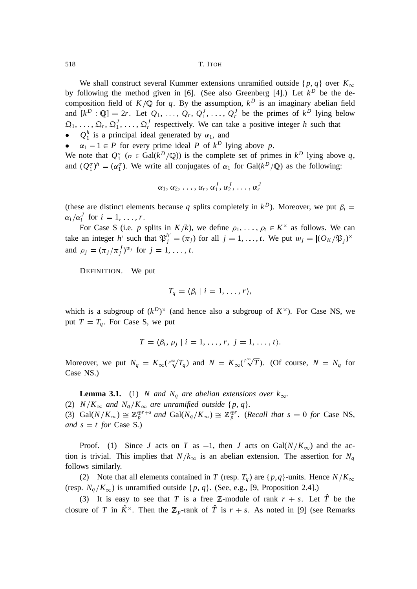We shall construct several Kummer extensions unramified outside  $\{p, q\}$  over  $K_{\infty}$ by following the method given in [6]. (See also Greenberg [4].) Let  $k^D$  be the decomposition field of  $K/\mathbb{Q}$  for *q*. By the assumption,  $k^D$  is an imaginary abelian field and  $[k^D : \mathbb{Q}] = 2r$ . Let  $Q_1, \ldots, Q_r, Q_1^J, \ldots, Q_r^J$  be the primes of  $k^D$  lying below  $\mathfrak{Q}_1, \ldots, \mathfrak{Q}_r, \mathfrak{Q}_1^J, \ldots, \mathfrak{Q}_r^J$  respectively. We can take a positive integer *h* such that •  $Q_1^h$  is a principal ideal generated by  $\alpha_1$ , and

•  $\alpha_1 - 1 \in P$  for every prime ideal *P* of  $k^D$  lying above *p*.

We note that  $Q_1^{\sigma}$  ( $\sigma \in \text{Gal}(k^D/\mathbb{Q})$ ) is the complete set of primes in  $k^D$  lying above q, and  $(Q_1^{\sigma})^h = (\alpha_1^{\sigma})$ . We write all conjugates of  $\alpha_1$  for Gal( $k^D/\mathbb{Q}$ ) as the following:

$$
\alpha_1, \alpha_2, \ldots, \alpha_r, \alpha_1^J, \alpha_2^J, \ldots, \alpha_r^J
$$

(these are distinct elements because q splits completely in  $k^D$ ). Moreover, we put  $\beta_i =$  $\alpha_i/\alpha_i^J$  for  $i = 1, \ldots, r$ .

For Case S (i.e. *p* splits in  $K/k$ ), we define  $\rho_1, \ldots, \rho_t \in K^\times$  as follows. We can take an integer *h*<sup> $\prime$ </sup> such that  $\mathfrak{P}_j^{h'} = (\pi_j)$  for all  $j = 1, ..., t$ . We put  $w_j = |(O_K/\mathfrak{P}_j)^{\times}|$ and  $\rho_j = (\pi_j / \pi_j^J)^{w_j}$  for  $j = 1, ..., t$ .

DEFINITION. We put

$$
T_q = \langle \beta_i \mid i = 1, \ldots, r \rangle,
$$

which is a subgroup of  $(k^D)^{\times}$  (and hence also a subgroup of  $K^{\times}$ ). For Case NS, we put  $T = T_a$ . For Case S, we put

$$
T = \langle \beta_i, \rho_j \mid i = 1, \ldots, r, j = 1, \ldots, t \rangle.
$$

Moreover, we put  $N_q = K_\infty(\sqrt[p^\infty]{T_q})$  and  $N = K_\infty(\sqrt[p^\infty]{T})$ . (Of course,  $N = N_q$  for Case NS.)

**Lemma 3.1.** (1) *N* and  $N_q$  are abelian extensions over  $k_\infty$ . (2)  $N/K_{\infty}$  and  $N_q/K_{\infty}$  are unramified outside {p, q}. (3)  $Gal(N/K_{\infty}) \cong \mathbb{Z}_p^{\oplus r+s}$  and  $Gal(N_q/K_{\infty}) \cong \mathbb{Z}_p^{\oplus r}$ . (*Recall that*  $s = 0$  *for* Case NS, *and*  $s = t$  *for* Case S.)

Proof. (1) Since *J* acts on *T* as  $-1$ , then *J* acts on Gal( $N/K_{\infty}$ ) and the action is trivial. This implies that  $N/k_{\infty}$  is an abelian extension. The assertion for  $N_q$ follows similarly.

(2) Note that all elements contained in *T* (resp.  $T_q$ ) are {*p*,*q*}-units. Hence  $N/K_{\infty}$ (resp.  $N_q/K_\infty$ ) is unramified outside  $\{p, q\}$ . (See, e.g., [9, Proposition 2.4].)

(3) It is easy to see that *T* is a free Z-module of rank  $r + s$ . Let  $\hat{T}$  be the closure of *T* in  $K^{\times}$ . Then the  $\mathbb{Z}_p$ -rank of *T* is  $r + s$ . As noted in [9] (see Remarks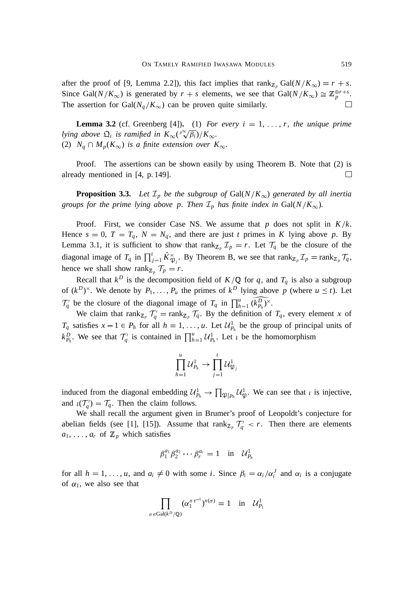after the proof of [9, Lemma 2.2]), this fact implies that  $\text{rank}_{\mathbb{Z}_p} \text{Gal}(N/K_\infty) = r + s$ . Since Gal( $N/K_{\infty}$ ) is generated by  $r + s$  elements, we see that Gal( $N/K_{\infty}$ )  $\cong \mathbb{Z}_p^{\oplus r+s}$ . The assertion for Gal( $N_q/K_\infty$ ) can be proven quite similarly.

**Lemma 3.2** (cf. Greenberg [4]). (1) *For every i* = 1, ..., *r*, *the unique prime lying above*  $\mathfrak{Q}_i$  *is ramified in*  $K_{\infty}(\sqrt[p^\infty]{\beta_i})/K_{\infty}$ . (2)  $N_q \cap M_p(K_\infty)$  *is a finite extension over*  $K_\infty$ *.* 

Proof. The assertions can be shown easily by using Theorem B. Note that (2) is already mentioned in [4, p. 149].  $\Box$ 

**Proposition 3.3.** Let  $\mathcal{I}_p$  be the subgroup of Gal( $N/K_\infty$ ) generated by all inertia *groups for the prime lying above p. Then*  $\mathcal{I}_p$  *has finite index in* Gal( $N/K_{\infty}$ )*.* 

Proof. First, we consider Case NS. We assume that  $p$  does not split in  $K/k$ . Hence  $s = 0$ ,  $T = T_q$ ,  $N = N_q$ , and there are just *t* primes in *K* lying above *p*. By Lemma 3.1, it is sufficient to show that rank<sub> $\mathbb{Z}_p$ </sub>  $\mathbb{Z}_p = r$ . Let  $\mathcal{T}_q$  be the closure of the diagonal image of  $T_q$  in  $\prod_{j=1}^t \hat{K}_{\mathfrak{P}_j}^{\times}$ . By Theorem B, we see that  $\text{rank}_{\mathbb{Z}_p} \mathcal{I}_p = \text{rank}_{\mathbb{Z}_p} \mathcal{T}_q$ , hence we shall show rank<sub> $\mathbb{Z}_p$ </sub>  $\mathcal{T}_p = r$ .

Recall that  $k^D$  is the decomposition field of  $K/\mathbb{Q}$  for *q*, and  $T_q$  is also a subgroup of  $(k^D)^{\times}$ . We denote by  $P_1, \ldots, P_u$  the primes of  $k^D$  lying above p (where  $u \le t$ ). Let  $\mathcal{T}_q'$  be the closure of the diagonal image of  $T_q$  in  $\prod_{h=1}^u \widetilde{(k_{P_h}^D)}^{\times}$ .

We claim that  $rank_{\mathbb{Z}_p} \mathcal{T}_q = rank_{\mathbb{Z}_p} \mathcal{T}_q$ . By the definition of  $\mathcal{T}_q$ , every element *x* of *T<sub>q</sub>* satisfies  $x - 1 \in P_h$  for all  $h = 1, \ldots, u$ . Let  $\mathcal{U}_{P_h}^1$  be the group of principal units of  $k_{P_h}^D$ . We see that  $\mathcal{T}_q^{\prime}$  is contained in  $\prod_{h=1}^u \mathcal{U}_{P_h}^1$ . Let  $\iota$  be the homomorphism

$$
\prod_{h=1}^u \mathcal{U}_{P_h}^1 \to \prod_{j=1}^t \mathcal{U}_{\mathfrak{P}_j}^1
$$

induced from the diagonal embedding  $\mathcal{U}_{P_h}^1 \to \prod_{\mathfrak{P}\mid p_h} \mathcal{U}_{\mathfrak{P}}^1$ . We can see that  $\iota$  is injective, and  $\iota(\mathcal{T}'_q) = \mathcal{T}_q$ . Then the claim follows.

We shall recall the argument given in Brumer's proof of Leopoldt's conjecture for abelian fields (see [1], [15]). Assume that  $\text{rank}_{\mathbb{Z}_p} \mathcal{T}'_q < r$ . Then there are elements  $a_1, \ldots, a_r$  of  $\mathbb{Z}_p$  which satisfies

$$
\beta_1^{a_1} \beta_2^{a_2} \cdots \beta_r^{a_r} = 1 \quad \text{in} \quad \mathcal{U}_{P_h}^1
$$

for all  $h = 1, \ldots, u$ , and  $a_i \neq 0$  with some *i*. Since  $\beta_i = \alpha_i / \alpha_i^J$  and  $\alpha_i$  is a conjugate of  $\alpha_1$ , we also see that

$$
\prod_{\sigma \in \text{Gal}(k^D/\mathbb{Q})} (\alpha_1^{\sigma \tau^{-1}})^{x(\sigma)} = 1 \quad \text{in} \quad \mathcal{U}_{P_1}^1
$$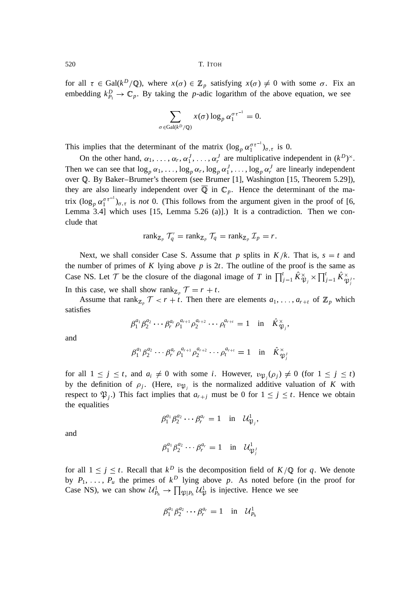for all  $\tau \in \text{Gal}(k^D/\mathbb{Q})$ , where  $x(\sigma) \in \mathbb{Z}_p$  satisfying  $x(\sigma) \neq 0$  with some  $\sigma$ . Fix an embedding  $k_{P_1}^D \to \mathbb{C}_p$ . By taking the *p*-adic logarithm of the above equation, we see

$$
\sum_{\sigma \in \text{Gal}(k^D/\mathbb{Q})} x(\sigma) \log_p \alpha_1^{\sigma \tau^{-1}} = 0.
$$

This implies that the determinant of the matrix  $(\log_p \alpha_1^{\sigma \tau^{-1}})_{\sigma,\tau}$  is 0.

On the other hand,  $\alpha_1, \ldots, \alpha_r, \alpha_1^J, \ldots, \alpha_r^J$  are multiplicative independent in  $(k^D)^{\times}$ . Then we can see that  $\log_p \alpha_1, \ldots, \log_p \alpha_r, \log_p \alpha_1^J, \ldots, \log_p \alpha_r^J$  are linearly independent over <sup>Q</sup>. By Baker–Brumer's theorem (see Brumer [1], Washington [15, Theorem 5.29]), they are also linearly independent over  $\overline{Q}$  in  $\mathbb{C}_p$ . Hence the determinant of the matrix  $(\log_p \alpha_1^{\sigma \tau^{-1}})_{\sigma,\tau}$  is *not* 0. (This follows from the argument given in the proof of [6, Lemma 3.4] which uses [15, Lemma 5.26 (a)].) It is a contradiction. Then we conclude that

$$
\operatorname{rank}_{\mathbb{Z}_p} \mathcal{T}'_q = \operatorname{rank}_{\mathbb{Z}_p} \mathcal{T}_q = \operatorname{rank}_{\mathbb{Z}_p} \mathcal{I}_p = r.
$$

Next, we shall consider Case S. Assume that *p* splits in  $K/k$ . That is,  $s = t$  and the number of primes of  $K$  lying above  $p$  is 2 $t$ . The outline of the proof is the same as Case NS. Let T be the closure of the diagonal image of T in  $\prod_{j=1}^{t} \hat{K}_{\mathfrak{P}_j}^{\times} \times \prod_{j=1}^{t} \hat{K}_{\mathfrak{P}_j}^{\times}$ . In this case, we shall show rank<sub> $\mathbb{Z}_p$ </sub>  $\mathcal{T} = r + t$ .

Assume that rank<sub> $\mathbb{Z}_p$ </sub>  $\mathcal{T} < r + t$ . Then there are elements  $a_1, \ldots, a_{r+t}$  of  $\mathbb{Z}_p$  which satisfies

$$
\beta_1^{a_1} \beta_2^{a_2} \cdots \beta_r^{a_r} \rho_1^{a_{r+1}} \rho_2^{a_{r+2}} \cdots \rho_t^{a_{r+t}} = 1 \text{ in } \hat{K}_{\mathfrak{P}_j}^{\times},
$$

and

$$
\beta_1^{a_1} \beta_2^{a_2} \cdots \beta_r^{a_r} \rho_1^{a_{r+1}} \rho_2^{a_{r+2}} \cdots \rho_t^{a_{r+t}} = 1 \text{ in } \hat{K}_{\mathfrak{P}_j}^{\times}
$$

for all  $1 \le j \le t$ , and  $a_i \ne 0$  with some *i*. However,  $v_{\mathfrak{P}_j}(\rho_j) \ne 0$  (for  $1 \le j \le t$ ) by the definition of  $\rho_j$ . (Here,  $v_{\mathfrak{P}_j}$  is the normalized additive valuation of *K* with respect to  $\mathfrak{P}_j$ .) This fact implies that  $a_{r+j}$  must be 0 for  $1 \leq j \leq t$ . Hence we obtain the equalities

$$
\beta_1^{a_1} \beta_2^{a_2} \cdots \beta_r^{a_r} = 1 \quad \text{in} \quad \mathcal{U}_{\mathfrak{P}_j}^1
$$

,

and

$$
\beta_1^{a_1} \beta_2^{a_2} \cdots \beta_r^{a_r} = 1 \quad \text{in} \quad \mathcal{U}_{\mathfrak{P}_j}^1
$$

for all  $1 \leq j \leq t$ . Recall that  $k^D$  is the decomposition field of  $K/\mathbb{Q}$  for q. We denote by  $P_1, \ldots, P_u$  the primes of  $k^D$  lying above p. As noted before (in the proof for Case NS), we can show  $\mathcal{U}_{P_h}^1 \to \prod_{\mathfrak{P} | P_h} \mathcal{U}_{\mathfrak{P}}^1$  is injective. Hence we see

$$
\beta_1^{a_1}\beta_2^{a_2}\cdots \beta_r^{a_r}=1 \text{ in } \mathcal{U}_{P_h}^1
$$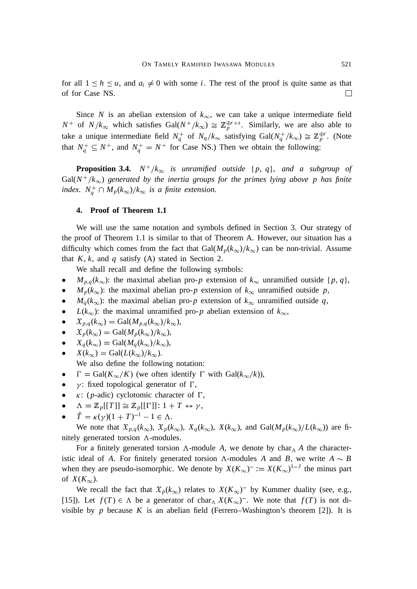for all  $1 \leq h \leq u$ , and  $a_i \neq 0$  with some *i*. The rest of the proof is quite same as that of for Case NS.  $\Box$ 

Since *N* is an abelian extension of  $k_{\infty}$ , we can take a unique intermediate field  $N^+$  of  $N/k_{\infty}$  which satisfies  $Gal(N^+/k_{\infty}) \cong \mathbb{Z}_p^{\oplus r+s}$ . Similarly, we are also able to take a unique intermediate field  $N_q^+$  of  $N_q/k_\infty$  satisfying  $Gal(N_q^+/k_\infty) \cong \mathbb{Z}_p^{\oplus r}$ . (Note that  $N_q^+ \subseteq N^+$ , and  $N_q^+ = N^+$  for Case NS.) Then we obtain the following:

**Proposition 3.4.**  $N^+/k_{\infty}$  is unramified outside  $\{p, q\}$ , and a subgroup of  $Gal(N^+/k_{\infty})$  generated by the inertia groups for the primes lying above p has finite *index.*  $N_q^+ \cap M_p(k_\infty)/k_\infty$  *is a finite extension.* 

# **4. Proof of Theorem 1.1**

We will use the same notation and symbols defined in Section 3. Our strategy of the proof of Theorem 1.1 is similar to that of Theorem A. However, our situation has a difficulty which comes from the fact that  $Gal(M_p(k_{\infty})/k_{\infty})$  can be non-trivial. Assume that  $K$ ,  $k$ , and  $q$  satisfy (A) stated in Section 2.

We shall recall and define the following symbols:

- *M*<sub>*p*,*q*</sub>( $k_{\infty}$ ): the maximal abelian pro-*p* extension of  $k_{\infty}$  unramified outside {*p*, *q*},
- $M_p(k_\infty)$ : the maximal abelian pro-*p* extension of  $k_\infty$  unramified outside *p*,
- $M_q(k_\infty)$ : the maximal abelian pro-*p* extension of  $k_\infty$  unramified outside *q*,
- *L*( $k_{\infty}$ ): the maximal unramified pro-*p* abelian extension of  $k_{\infty}$ ,
- $\mathfrak{X}_{p,q}(k_{\infty}) = \text{Gal}(M_{p,q}(k_{\infty})/k_{\infty}),$
- $\mathfrak{X}_p(k_\infty) = \text{Gal}(M_p(k_\infty)/k_\infty),$
- $X_q(k_\infty) = \text{Gal}(M_q(k_\infty)/k_\infty),$
- $X(k_{\infty}) = \text{Gal}(L(k_{\infty})/k_{\infty}).$ We also define the following notation:
- $\Gamma = \text{Gal}(K_{\infty}/K)$  (we often identify  $\Gamma$  with  $\text{Gal}(k_{\infty}/k)$ ),
- $\gamma$ : fixed topological generator of  $\Gamma$ ,
- $\kappa$ : (*p*-adic) cyclotomic character of  $\Gamma$ ,
- $\Lambda = \mathbb{Z}_p[[T]] \cong \mathbb{Z}_p[[\Gamma]] : 1 + T \leftrightarrow \gamma,$
- $\dot{T} = \kappa (\gamma) (1 + T)^{-1} 1 \in \Lambda.$

We note that  $\mathfrak{X}_{p,q}(k_{\infty}), \mathfrak{X}_{p}(k_{\infty}), X_{q}(k_{\infty}), X(k_{\infty}),$  and  $Gal(M_{p}(k_{\infty})/L(k_{\infty}))$  are finitely generated torsion  $\Lambda$ -modules.

For a finitely generated torsion  $\Lambda$ -module *A*, we denote by char $\Lambda$  *A* the characteristic ideal of *A*. For finitely generated torsion  $\Lambda$ -modules *A* and *B*, we write  $A \sim B$ when they are pseudo-isomorphic. We denote by  $X(K_{\infty})^{-} := X(K_{\infty})^{1-J}$  the minus part of  $X(K_{\infty})$ .

We recall the fact that  $\mathfrak{X}_p(k_\infty)$  relates to  $X(K_\infty)^{-1}$  by Kummer duality (see, e.g., [15]). Let  $f(T) \in \Lambda$  be a generator of char<sub> $\Lambda$ </sub>  $X(K_{\infty})^{-}$ . We note that  $f(T)$  is not divisible by  $p$  because  $K$  is an abelian field (Ferrero–Washington's theorem [2]). It is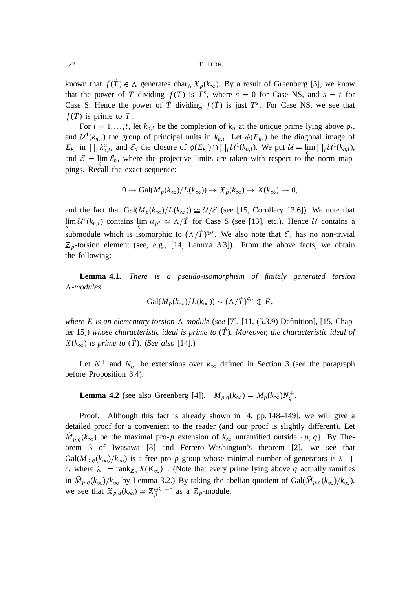known that  $f(T) \in \Lambda$  generates char<sub> $\Lambda$ </sub>  $\mathfrak{X}_p(k_\infty)$ . By a result of Greenberg [3], we know that the power of *T* dividing  $f(T)$  is  $T<sup>s</sup>$ , where  $s = 0$  for Case NS, and  $s = t$  for Case S. Hence the power of  $\dot{T}$  dividing  $f(\dot{T})$  is just  $\dot{T}^s$ . For Case NS, we see that  $f(T)$  is prime to  $T$ .

For  $i = 1, \ldots, t$ , let  $k_{n,i}$  be the completion of  $k_n$  at the unique prime lying above  $\mathfrak{p}_i$ , and  $\mathcal{U}^1(k_{n,i})$  the group of principal units in  $k_{n,i}$ . Let  $\phi(E_{k_n})$  be the diagonal image of  $E_{k_n}$  in  $\prod_i k_{n,i}^{\times}$ , and  $\mathcal{E}_n$  the closure of  $\phi(E_{k_n}) \cap \prod_i \mathcal{U}^1(k_{n,i})$ . We put  $\mathcal{U} = \underline{\lim}_{i} \prod_i \mathcal{U}^1(k_{n,i})$ , and  $\mathcal{E} = \lim_{n \to \infty} \mathcal{E}_n$ , where the projective limits are taken with respect to the norm map-pings. Recall the exact sequence:

$$
0 \to \text{Gal}(M_p(k_\infty)/L(k_\infty)) \to \mathfrak{X}_p(k_\infty) \to X(k_\infty) \to 0,
$$

and the fact that  $Gal(M_p(k_{\infty})/L(k_{\infty})) \cong \mathcal{U}/\mathcal{E}$  (see [15, Corollary 13.6]). We note that  $\lim_{n \to \infty} U^1(k_{n,i})$  contains  $\lim_{n \to \infty} \mu_{p^n} \cong \Lambda/T$  for Case S (see [13], etc.). Hence U contains a submodule which is isomorphic to  $(\Lambda/T)^{\oplus s}$ . We also note that  $\mathcal{E}_n$  has no non-trivial  $\mathbb{Z}_p$ -torsion element (see, e.g., [14, Lemma 3.3]). From the above facts, we obtain the following:

**Lemma 4.1.** *There is a pseudo-isomorphism of finitely generated torsion* <sup>3</sup>*-modules*:

$$
\text{Gal}(M_p(k_\infty)/L(k_\infty)) \sim (\Lambda/\dot{T})^{\oplus s} \oplus E,
$$

*where E* is an elementary torsion  $\Lambda$ -module (see [7], [11, (5.3.9) Definition], [15, Chapter 15]) *whose characteristic ideal is prime to* (*T*<sup>P</sup> )*. Moreover*, *the characteristic ideal of*  $X(k_{\infty})$  *is prime to* (*T*). (*See also* [14]*.*)

Let  $N^+$  and  $N_q^+$  be extensions over  $k_{\infty}$  defined in Section 3 (see the paragraph before Proposition 3.4).

**Lemma 4.2** (see also Greenberg [4]).  $M_{p,q}(k_{\infty}) = M_p(k_{\infty})N_q^+$ .

Proof. Although this fact is already shown in [4, pp. 148–149], we will give a detailed proof for a convenient to the reader (and our proof is slightly different). Let  $M_{p,q}(k_{\infty})$  be the maximal pro-*p* extension of  $k_{\infty}$  unramified outside {*p*, *q*}. By Theorem 3 of Iwasawa [8] and Ferrero–Washington's theorem [2], we see that Gal( $M_{p,q}(k_{\infty})/k_{\infty}$ ) is a free pro-*p* group whose minimal number of generators is  $\lambda^-$  + *r*, where  $\lambda^-$  = rank<sub>Z<sub>p</sub></sub>  $X(K_\infty)^-$ . (Note that every prime lying above *q* actually ramifies in  $M_{p,q}(k_{\infty})/k_{\infty}$  by Lemma 3.2.) By taking the abelian quotient of Gal( $M_{p,q}(k_{\infty})/k_{\infty}$ ), we see that  $\mathfrak{X}_{p,q}(k_{\infty}) \cong \mathbb{Z}_p^{\oplus \lambda^{-}+r}$  as a  $\mathbb{Z}_p$ -module.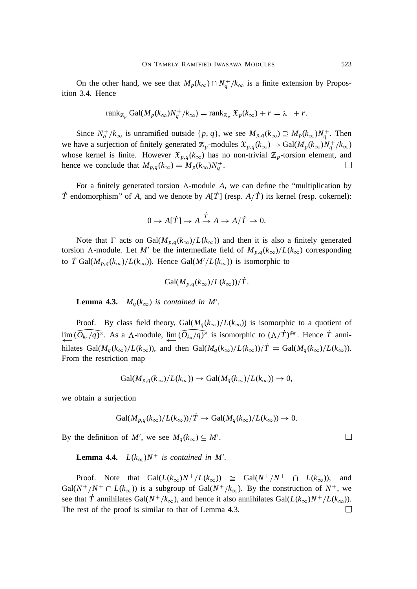On the other hand, we see that  $M_p(k_{\infty}) \cap N_q^+/k_{\infty}$  is a finite extension by Proposition 3.4. Hence

$$
\operatorname{rank}_{\mathbb{Z}_p} \operatorname{Gal}(M_p(k_\infty)N_q^+/k_\infty) = \operatorname{rank}_{\mathbb{Z}_p} \mathfrak{X}_p(k_\infty) + r = \lambda^- + r.
$$

Since  $N_q^+/k_{\infty}$  is unramified outside  $\{p, q\}$ , we see  $M_{p,q}(k_{\infty}) \supseteq M_p(k_{\infty})N_q^+$ . Then we have a surjection of finitely generated  $\mathbb{Z}_p$ -modules  $\mathfrak{X}_{p,q}(k_\infty) \to \text{Gal}(M_p(k_\infty)N_q^+/k_\infty)$ whose kernel is finite. However  $\mathfrak{X}_{p,q}(k_{\infty})$  has no non-trivial  $\mathbb{Z}_p$ -torsion element, and hence we conclude that  $M_{p,q}(k_{\infty}) = M_p(k_{\infty})N_q^+$ . П

For a finitely generated torsion  $\Lambda$ -module  $A$ , we can define the "multiplication by *T* endomorphism" of *A*, and we denote by  $A[T]$  (resp.  $A/T$ ) its kernel (resp. cokernel):

$$
0 \to A[T] \to A \xrightarrow{\dot{T}} A \to A/\dot{T} \to 0.
$$

Note that  $\Gamma$  acts on Gal $(M_{p,q}(k_{\infty})/L(k_{\infty}))$  and then it is also a finitely generated torsion  $\Lambda$ -module. Let *M'* be the intermediate field of  $M_{p,q}(k_{\infty})/L(k_{\infty})$  corresponding to *T* Gal( $M_{p,q}(k_{\infty})/L(k_{\infty})$ ). Hence Gal( $M'/L(k_{\infty})$ ) is isomorphic to

$$
Gal(M_{p,q}(k_{\infty})/L(k_{\infty}))/T.
$$

**Lemma 4.3.**  $M_q(k_\infty)$  is contained in M'.

Proof. By class field theory,  $Gal(M_q(k_{\infty})/L(k_{\infty}))$  is isomorphic to a quotient of  $\lim_{\Delta}(\widehat{O}_{k_n}/q)^{\times}$ . As a  $\Lambda$ -module,  $\lim_{\Delta}(\widehat{O}_{k_n}/q)^{\times}$  is isomorphic to  $(\Lambda/T)^{\oplus r}$ . Hence *T* annihilates Gal( $M_q(k_\infty)/L(k_\infty)$ ), and then Gal( $M_q(k_\infty)/L(k_\infty)/T = \text{Gal}(M_q(k_\infty)/L(k_\infty))$ . From the restriction map

$$
Gal(M_{p,q}(k_{\infty})/L(k_{\infty})) \to Gal(M_q(k_{\infty})/L(k_{\infty})) \to 0,
$$

we obtain a surjection

$$
\text{Gal}(M_{p,q}(k_{\infty})/L(k_{\infty}))/T \to \text{Gal}(M_q(k_{\infty})/L(k_{\infty})) \to 0.
$$

By the definition of *M'*, we see  $M_q(k_\infty) \subseteq M'$ .

**Lemma 4.4.**  $L(k_{\infty})N^+$  is contained in M'.

Proof. Note that  $Gal(L(k_{\infty}))N^{+}/L(k_{\infty})) \cong Gal(N^{+}/N^{+} \cap L(k_{\infty}))$ , and  $Gal(N^+/N^+ \cap L(k_{\infty}))$  is a subgroup of  $Gal(N^+/k_{\infty})$ . By the construction of  $N^+$ , we see that *T* annihilates Gal( $N^+/k_{\infty}$ ), and hence it also annihilates Gal( $L(k_{\infty})N^+/L(k_{\infty})$ ). The rest of the proof is similar to that of Lemma 4.3. $\Box$ 

 $\Box$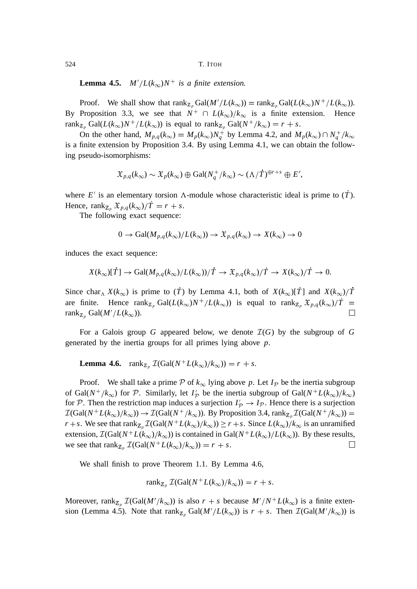**Lemma 4.5.**  $M'/L(k_{\infty})N^+$  is a finite extension.

Proof. We shall show that  $\text{rank}_{\mathbb{Z}_p} \text{Gal}(M'/L(k_\infty)) = \text{rank}_{\mathbb{Z}_p} \text{Gal}(L(k_\infty))^{-1}/L(k_\infty)$ . By Proposition 3.3, we see that  $N^+ \cap L(k_\infty)/k_\infty$  is a finite extension. Hence rank<sub>Z<sub>p</sub></sub> Gal( $L(k_{\infty})N^+/L(k_{\infty})$ ) is equal to rank<sub>Z<sub>p</sub></sub> Gal( $N^+/k_{\infty}$ ) =  $r + s$ .

On the other hand,  $M_{p,q}(k_{\infty}) = M_p(k_{\infty})N_q^+$  by Lemma 4.2, and  $M_p(k_{\infty}) \cap N_q^+/k_{\infty}$ is a finite extension by Proposition 3.4. By using Lemma 4.1, we can obtain the following pseudo-isomorphisms:

$$
\mathfrak{X}_{p,q}(k_{\infty}) \sim \mathfrak{X}_p(k_{\infty}) \oplus \text{Gal}(N_q^+/k_{\infty}) \sim (\Lambda/T)^{\oplus r+s} \oplus E',
$$

where  $E'$  is an elementary torsion  $\Lambda$ -module whose characteristic ideal is prime to  $(T)$ . Hence, rank<sub>Z<sub>p</sub></sub>  $\mathfrak{X}_{p,q}(k_{\infty})/T = r + s$ .

The following exact sequence:

$$
0 \to \text{Gal}(M_{p,q}(k_{\infty})/L(k_{\infty})) \to \mathfrak{X}_{p,q}(k_{\infty}) \to X(k_{\infty}) \to 0
$$

induces the exact sequence:

$$
X(k_{\infty})[T] \to \text{Gal}(M_{p,q}(k_{\infty})/L(k_{\infty}))/T \to \mathfrak{X}_{p,q}(k_{\infty})/T \to X(k_{\infty})/T \to 0.
$$

Since char<sub> $\Lambda$ </sub>  $X(k_{\infty})$  is prime to (*T*) by Lemma 4.1, both of  $X(k_{\infty})[T]$  and  $X(k_{\infty})/T$ are finite. Hence  $\text{rank}_{\mathbb{Z}_p} \text{Gal}(L(k_\infty)N^+/L(k_\infty))$  is equal to  $\text{rank}_{\mathbb{Z}_p} \mathfrak{X}_{p,q}(k_\infty)/T =$  $\mathrm{rank}_{\mathbb{Z}_p} \mathrm{Gal}(M'/L(k_\infty)).$  $\Box$ 

For a Galois group *G* appeared below, we denote  $\mathcal{I}(G)$  by the subgroup of *G* generated by the inertia groups for all primes lying above *p*.

**Lemma 4.6.**  $\text{rank}_{\mathbb{Z}_p} \mathcal{I}(\text{Gal}(N^+L(k_\infty)/k_\infty)) = r + s.$ 

Proof. We shall take a prime P of  $k_{\infty}$  lying above p. Let  $I_{\mathcal{P}}$  be the inertia subgroup of Gal( $N^+/k_{\infty}$ ) for P. Similarly, let  $I'_p$  be the inertia subgroup of Gal( $N^+L(k_{\infty})/k_{\infty}$ ) for P. Then the restriction map induces a surjection  $I'_\mathcal{P} \to I_{\mathcal{P}}$ . Hence there is a surjection  $\mathcal{I}(\text{Gal}(N^+L(k_{\infty})/k_{\infty})) \to \mathcal{I}(\text{Gal}(N^+/k_{\infty}))$ . By Proposition 3.4, rank<sub>Z<sub>p</sub></sub>  $\mathcal{I}(\text{Gal}(N^+/k_{\infty}))$  = *r* + *s*. We see that  $rank_{\mathbb{Z}_p} \mathcal{I}(Gal(N^+L(k_\infty)/k_\infty)) \ge r + s$ . Since  $L(k_\infty)/k_\infty$  is an unramified extension,  $\mathcal{I}(\text{Gal}(N^+L(k_{\infty})/k_{\infty}))$  is contained in Gal( $N^+L(k_{\infty})/L(k_{\infty})$ ). By these results, we see that  $\operatorname{rank}_{\mathbb{Z}_p} \mathcal{I}(\text{Gal}(N^+L(k_\infty)/k_\infty)) = r + s$ .  $\Box$ 

We shall finish to prove Theorem 1.1. By Lemma 4.6,

$$
rank_{\mathbb{Z}_p} \mathcal{I}(Gal(N^+L(k_{\infty})/k_{\infty})) = r + s.
$$

Moreover, rank<sub>Z<sub>p</sub></sub>  $\mathcal{I}(\text{Gal}(M'/k_{\infty}))$  is also  $r + s$  because  $M'/N^{+}L(k_{\infty})$  is a finite extension (Lemma 4.5). Note that  $\text{rank}_{\mathbb{Z}_p} \text{Gal}(M'/L(k_\infty))$  is  $r + s$ . Then  $\mathcal{I}(\text{Gal}(M'/k_\infty))$  is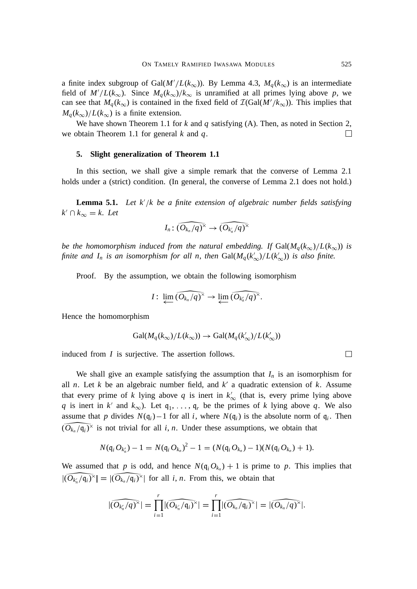a finite index subgroup of Gal( $M'/L(k_{\infty})$ ). By Lemma 4.3,  $M_q(k_{\infty})$  is an intermediate field of  $M'/L(k_{\infty})$ . Since  $M_q(k_{\infty})/k_{\infty}$  is unramified at all primes lying above p, we can see that  $M_q(k_{\infty})$  is contained in the fixed field of  $\mathcal{I}(\text{Gal}(M'/k_{\infty}))$ . This implies that  $M_a(k_\infty)/L(k_\infty)$  is a finite extension.

We have shown Theorem 1.1 for *k* and *q* satisfying (A). Then, as noted in Section 2, we obtain Theorem 1.1 for general *k* and *q*.  $\Box$ 

#### **5. Slight generalization of Theorem 1.1**

In this section, we shall give a simple remark that the converse of Lemma 2.1 holds under a (strict) condition. (In general, the converse of Lemma 2.1 does not hold.)

**Lemma 5.1.** Let  $k'/k$  be a finite extension of algebraic number fields satisfying  $k' \cap k_{\infty} = k$ . Let

$$
I_n \quad \widehat{(O_{k_n}/q)^\times} \to \widehat{(O_{k_n}/q)^\times}
$$

*be the homomorphism induced from the natural embedding. If*  $Gal(M_q(k_{\infty})/L(k_{\infty}))$  *is finite and*  $I_n$  *is an isomorphism for all n, then*  $Gal(M_q(k'_{\infty})/L(k'_{\infty}))$  *is also finite.* 

Proof. By the assumption, we obtain the following isomorphism

$$
I: \lim_{\longleftarrow} \widehat{(O_{k_n}/q)^{\times}} \to \lim_{\longleftarrow} \widehat{(O_{k_n}/q)^{\times}}.
$$

Hence the homomorphism

$$
\text{Gal}(M_q(k_{\infty})/L(k_{\infty})) \to \text{Gal}(M_q(k'_{\infty})/L(k'_{\infty}))
$$

induced from *I* is surjective. The assertion follows.

We shall give an example satisfying the assumption that  $I_n$  is an isomorphism for all *n*. Let *k* be an algebraic number field, and  $k'$  a quadratic extension of  $k$ . Assume that every prime of *k* lying above *q* is inert in  $k'_\infty$  (that is, every prime lying above *q* is inert in *k*<sup> $\prime$ </sup> and  $k_{\infty}$ ). Let  $q_1, \ldots, q_r$  be the primes of *k* lying above *q*. We also assume that p divides  $N(q_i) - 1$  for all i, where  $N(q_i)$  is the absolute norm of  $q_i$ . Then  $(O_{k_n}/q_i)^{\times}$  is not trivial for all *i*, *n*. Under these assumptions, we obtain that

$$
N(\mathfrak{q}_i O_{k_n'})-1=N(\mathfrak{q}_i O_{k_n})^2-1=(N(\mathfrak{q}_i O_{k_n})-1)(N(\mathfrak{q}_i O_{k_n})+1).
$$

We assumed that *p* is odd, and hence  $N(q_i Q_{k_n}) + 1$  is prime to *p*. This implies that  $|(O_{k_n}/\mathfrak{q}_i)^{\times}| = |(O_{k_n}/\mathfrak{q}_i)^{\times}|$  for all *i*, *n*. From this, we obtain that

$$
|\widehat{(O_{k_n}/q)^\times}|=\prod_{i=1}^r|\widehat{(O_{k_n}/\mathfrak{q}_i)^\times}|=\prod_{i=1}^r|\widehat{(O_{k_n}/\mathfrak{q}_i)^\times}|=|\widehat{(O_{k_n}/q)^\times}|.
$$

 $\Box$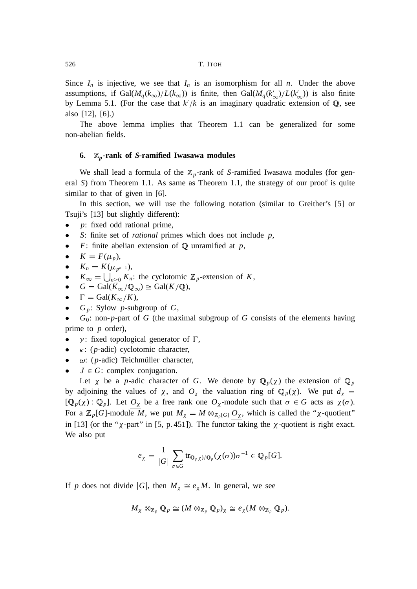Since  $I_n$  is injective, we see that  $I_n$  is an isomorphism for all *n*. Under the above assumptions, if  $Gal(M_q(k_{\infty})/L(k_{\infty}))$  is finite, then  $Gal(M_q(k'_{\infty})/L(k'_{\infty}))$  is also finite by Lemma 5.1. (For the case that  $k'/k$  is an imaginary quadratic extension of  $\mathbb{Q}$ , see also [12], [6].)

The above lemma implies that Theorem 1.1 can be generalized for some non-abelian fields.

# **6.** <sup>Z</sup>*<sup>p</sup>***-rank of** *S***-ramified Iwasawa modules**

We shall lead a formula of the  $\mathbb{Z}_p$ -rank of *S*-ramified Iwasawa modules (for general *S*) from Theorem 1.1. As same as Theorem 1.1, the strategy of our proof is quite similar to that of given in [6].

In this section, we will use the following notation (similar to Greither's [5] or Tsuji's [13] but slightly different):

- *p*: fixed odd rational prime,
- *S*: finite set of *rational* primes which does not include *p*,
- $F$ : finite abelian extension of  $Q$  unramified at  $p$ ,

• 
$$
K = F(\mu_p)
$$
,

- $K_n = K(\mu_{p^{n+1}}),$
- $K_{\infty} = \bigcup_{n \geq 0} K_n$ : the cyclotomic  $\mathbb{Z}_p$ -extension of *K*,
- $G = \text{Gal}(K_{\infty}/\mathbb{Q}_{\infty}) \cong \text{Gal}(K/\mathbb{Q}),$
- $\Gamma = \text{Gal}(K_{\infty}/K),$
- *G <sup>p</sup>*: Sylow *p*-subgroup of *G*,

 $G_0$ : non- $p$ -part of  $G$  (the maximal subgroup of  $G$  consists of the elements having prime to *p* order),

- $\gamma$ : fixed topological generator of  $\Gamma$ ,
- $\kappa$ : (*p*-adic) cyclotomic character,
- $\omega$ : (*p*-adic) Teichmüller character,
- $J \in G$ : complex conjugation.

Let  $\chi$  be a *p*-adic character of *G*. We denote by  $\mathbb{Q}_p(\chi)$  the extension of  $\mathbb{Q}_p$ by adjoining the values of  $\chi$ , and  $O_{\chi}$  the valuation ring of  $\mathbb{Q}_p(\chi)$ . We put  $d_{\chi} =$  $[Q_p(\chi) : Q_p]$ . Let  $O_\chi$  be a free rank one  $O_\chi$ -module such that  $\sigma \in G$  acts as  $\chi(\sigma)$ . For a  $\mathbb{Z}_p[G]$ -module M, we put  $M_\chi = M \otimes_{\mathbb{Z}_p[G]} O_\chi$ , which is called the " $\chi$ -quotient" in [13] (or the " $\chi$ -part" in [5, p. 451]). The functor taking the  $\chi$ -quotient is right exact. We also put

$$
e_{\chi} = \frac{1}{|G|} \sum_{\sigma \in G} \text{tr}_{\mathbb{Q}_p \chi)/\mathbb{Q}_p} (\chi(\sigma)) \sigma^{-1} \in \mathbb{Q}_p[G].
$$

If *p* does not divide |G|, then  $M_\chi \cong e_\chi M$ . In general, we see

$$
M_{\chi} \otimes_{\mathbb{Z}_p} \mathbb{Q}_p \cong (M \otimes_{\mathbb{Z}_p} \mathbb{Q}_p)_{\chi} \cong e_{\chi} (M \otimes_{\mathbb{Z}_p} \mathbb{Q}_p).
$$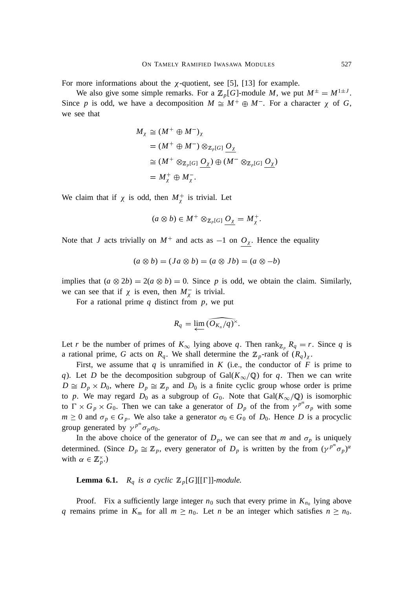For more informations about the  $\chi$ -quotient, see [5], [13] for example.

We also give some simple remarks. For a  $\mathbb{Z}_p[G]$ -module M, we put  $M^{\pm} = M^{1 \pm J}$ . Since p is odd, we have a decomposition  $M \cong M^+ \oplus M^-$ . For a character  $\chi$  of G, we see that

$$
M_{\chi} \cong (M^+ \oplus M^-)_{\chi}
$$
  
=  $(M^+ \oplus M^-) \otimes_{\mathbb{Z}_p[G]} \underline{O}_{\chi}$   

$$
\cong (M^+ \otimes_{\mathbb{Z}_p[G]} \underline{O}_{\chi}) \oplus (M^- \otimes_{\mathbb{Z}_p[G]} \underline{O}_{\chi})
$$
  
=  $M_{\chi}^+ \oplus M_{\chi}^-$ .

We claim that if  $\chi$  is odd, then  $M_{\chi}^{+}$  is trivial. Let

$$
(a\otimes b)\in M^+\otimes_{\mathbb{Z}_p[G]}\underline{O_\chi}=M_\chi^+.
$$

Note that *J* acts trivially on  $M^+$  and acts as  $-1$  on  $O_\chi$ . Hence the equality

$$
(a \otimes b) = (Ja \otimes b) = (a \otimes Jb) = (a \otimes -b)
$$

implies that  $(a \otimes 2b) = 2(a \otimes b) = 0$ . Since *p* is odd, we obtain the claim. Similarly, we can see that if  $\chi$  is even, then  $M_{\chi}^-$  is trivial.

For a rational prime *q* distinct from *p*, we put

$$
R_q = \lim_{\longleftarrow} \widehat{(O_{K_n}/q)^{\times}}.
$$

Let *r* be the number of primes of  $K_{\infty}$  lying above *q*. Then rank<sub>Z</sub><sub>*n*</sub>  $R_q = r$ . Since *q* is a rational prime, *G* acts on  $R_q$ . We shall determine the  $\mathbb{Z}_p$ -rank of  $(R_q)_{\chi}$ .

First, we assume that  $q$  is unramified in  $K$  (i.e., the conductor of  $F$  is prime to *q*). Let *D* be the decomposition subgroup of Gal( $K_{\infty}/\mathbb{Q}$ ) for *q*. Then we can write  $D \cong D_p \times D_0$ , where  $D_p \cong \mathbb{Z}_p$  and  $D_0$  is a finite cyclic group whose order is prime to *p*. We may regard  $D_0$  as a subgroup of  $G_0$ . Note that Gal( $K_{\infty}/\mathbb{Q}$ ) is isomorphic to  $\Gamma \times G_p \times G_0$ . Then we can take a generator of  $D_p$  of the from  $\gamma^{p^m} \sigma_p$  with some  $m \geq 0$  and  $\sigma_p \in G_p$ . We also take a generator  $\sigma_0 \in G_0$  of  $D_0$ . Hence *D* is a procyclic group generated by  $\gamma^{p^m} \sigma_p \sigma_0$ .

In the above choice of the generator of  $D_p$ , we can see that *m* and  $\sigma_p$  is uniquely determined. (Since  $D_p \cong \mathbb{Z}_p$ , every generator of  $D_p$  is written by the from  $(\gamma^{p^m} \sigma_p)^{\alpha}$ with  $\alpha \in \mathbb{Z}_p^{\times}$ .)

**Lemma 6.1.**  $R_q$  *is a cyclic*  $\mathbb{Z}_p[G][[\Gamma]]$ *-module.* 

Proof. Fix a sufficiently large integer  $n_0$  such that every prime in  $K_{n_0}$  lying above *q* remains prime in  $K_m$  for all  $m \geq n_0$ . Let *n* be an integer which satisfies  $n \geq n_0$ .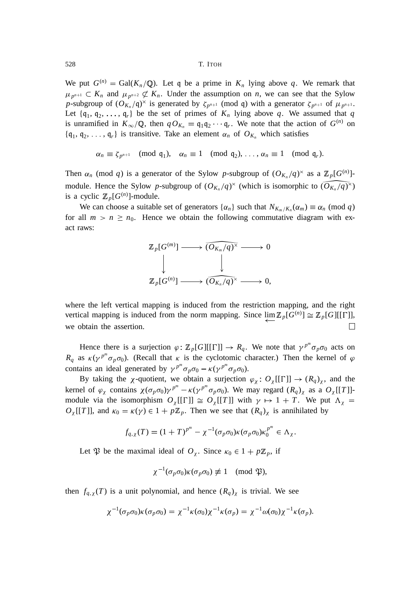We put  $G^{(n)} = \text{Gal}(K_n/\mathbb{Q})$ . Let q be a prime in  $K_n$  lying above q. We remark that  $\mu_{p^{n+1}} \subset K_n$  and  $\mu_{p^{n+2}} \not\subset K_n$ . Under the assumption on *n*, we can see that the Sylow *p*-subgroup of  $(O_{K_n}/\mathfrak{q})^{\times}$  is generated by  $\zeta_{p^{n+1}}$  (mod q) with a generator  $\zeta_{p^{n+1}}$  of  $\mu_{p^{n+1}}$ . Let  $\{q_1, q_2, \ldots, q_r\}$  be the set of primes of  $K_n$  lying above q. We assumed that q is unramified in  $K_{\infty}/\mathbb{Q}$ , then  $q O_{K_n} = q_1 q_2 \cdots q_r$ . We note that the action of  $G^{(n)}$  on  $\{q_1, q_2, \ldots, q_r\}$  is transitive. Take an element  $\alpha_n$  of  $O_{K_n}$  which satisfies

$$
\alpha_n \equiv \zeta_{p^{n+1}} \pmod{\mathfrak{q}_1}, \quad \alpha_n \equiv 1 \pmod{\mathfrak{q}_2}, \ldots, \alpha_n \equiv 1 \pmod{\mathfrak{q}_r}.
$$

Then  $\alpha_n$  (mod *q*) is a generator of the Sylow *p*-subgroup of  $(O_{K_n}/q)^\times$  as a  $\mathbb{Z}_p[G^{(n)}]$ module. Hence the Sylow *p*-subgroup of  $(O_{K_n}/q)$ <sup> $\times$ </sup> (which is isomorphic to  $(O_{K_n}/q)$ <sup> $\times$ </sup>) is a cyclic  $\mathbb{Z}_p[G^{(n)}]$ -module.

We can choose a suitable set of generators  $\{\alpha_n\}$  such that  $N_{K_m/K_n}(\alpha_m) \equiv \alpha_n \pmod{q}$ for all  $m > n \ge n_0$ . Hence we obtain the following commutative diagram with exact raws:

$$
\mathbb{Z}_p[G^{(m)}] \longrightarrow \widehat{O_{K_m}/q}^{\times} \longrightarrow 0
$$
  

$$
\downarrow \qquad \qquad \downarrow
$$
  

$$
\mathbb{Z}_p[G^{(n)}] \longrightarrow \widehat{O_{K_n}/q}^{\times} \longrightarrow 0,
$$

where the left vertical mapping is induced from the restriction mapping, and the right vertical mapping is induced from the norm mapping. Since  $\lim_{p} \mathbb{Z}_p[G^{(n)}] \cong \mathbb{Z}_p[G][[\Gamma]],$ we obtain the assertion.  $\Box$ 

Hence there is a surjection  $\varphi$ :  $\mathbb{Z}_p[G][[\Gamma]] \to R_q$ . We note that  $\gamma^{p^m} \sigma_p \sigma_0$  acts on  $R_q$  as  $\kappa(\gamma^{p^m}\sigma_p\sigma_0)$ . (Recall that  $\kappa$  is the cyclotomic character.) Then the kernel of  $\varphi$ contains an ideal generated by  $\gamma^{p^m} \sigma_p \sigma_0 - \kappa (\gamma^{p^m} \sigma_p \sigma_0)$ .

By taking the  $\chi$ -quotient, we obtain a surjection  $\varphi_{\chi}$ :  $O_{\chi}[[\Gamma]] \to (R_q)_{\chi}$ , and the kernel of  $\varphi_\chi$  contains  $\chi(\sigma_p \sigma_0) \gamma^{p^m} - \kappa(\gamma^{p^m} \sigma_p \sigma_0)$ . We may regard  $(R_q)_\chi$  as a  $O_\chi[[T]]$ module via the isomorphism  $O_\chi[[\Gamma]] \cong O_\chi[[T]]$  with  $\gamma \mapsto 1 + T$ . We put  $\Lambda_\chi =$  $O_\chi[[T]]$ , and  $\kappa_0 = \kappa(\gamma) \in 1 + p\mathbb{Z}_p$ . Then we see that  $(R_q)_\chi$  is annihilated by

$$
f_{q,\chi}(T)=(1+T)^{p^m}-\chi^{-1}(\sigma_p\sigma_0)\kappa(\sigma_p\sigma_0)\kappa_0^{p^m}\in\Lambda_{\chi}.
$$

Let  $\mathfrak{P}$  be the maximal ideal of  $O_\chi$ . Since  $\kappa_0 \in 1 + p\mathbb{Z}_p$ , if

$$
\chi^{-1}(\sigma_p \sigma_0) \kappa(\sigma_p \sigma_0) \not\equiv 1 \pmod{\mathfrak{P}},
$$

then  $f_{q, \chi}(T)$  is a unit polynomial, and hence  $(R_q)_{\chi}$  is trivial. We see

$$
\chi^{-1}(\sigma_p \sigma_0) \kappa(\sigma_p \sigma_0) = \chi^{-1} \kappa(\sigma_0) \chi^{-1} \kappa(\sigma_p) = \chi^{-1} \omega(\sigma_0) \chi^{-1} \kappa(\sigma_p).
$$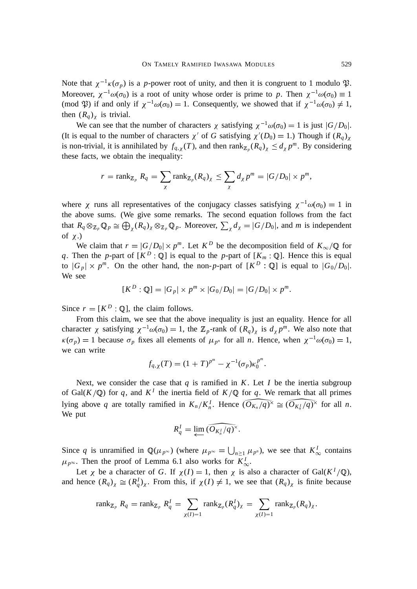Note that  $\chi^{-1}\kappa(\sigma_p)$  is a *p*-power root of unity, and then it is congruent to 1 modulo  $\mathfrak{P}$ . Moreover,  $\chi^{-1}\omega(\sigma_0)$  is a root of unity whose order is prime to *p*. Then  $\chi^{-1}\omega(\sigma_0) \equiv 1$ (mod  $\mathfrak{P}$ ) if and only if  $\chi^{-1}\omega(\sigma_0) = 1$ . Consequently, we showed that if  $\chi^{-1}\omega(\sigma_0) \neq 1$ , then  $(R_q)$ <sub>x</sub> is trivial.

We can see that the number of characters  $\chi$  satisfying  $\chi^{-1}\omega(\sigma_0) = 1$  is just  $|G/D_0|$ . (It is equal to the number of characters  $\chi'$  of *G* satisfying  $\chi'(D_0) = 1$ .) Though if  $(R_q)_{\chi}$ is non-trivial, it is annihilated by  $f_{q,\chi}(T)$ , and then  $\text{rank}_{\mathbb{Z}_p}(R_q)_{\chi} \leq d_{\chi}p^m$ . By considering these facts, we obtain the inequality:

$$
r = \operatorname{rank}_{\mathbb{Z}_p} R_q = \sum_{\chi} \operatorname{rank}_{\mathbb{Z}_p} (R_q)_{\chi} \leq \sum_{\chi} d_{\chi} p^m = |G/D_0| \times p^m,
$$

where  $\chi$  runs all representatives of the conjugacy classes satisfying  $\chi^{-1}\omega(\sigma_0) = 1$  in the above sums. (We give some remarks. The second equation follows from the fact that  $R_q \otimes_{\mathbb{Z}_p} \mathbb{Q}_p \cong \bigoplus_{\chi} (R_q)_{\chi} \otimes_{\mathbb{Z}_p} \mathbb{Q}_p$ . Moreover,  $\sum_{\chi} d_{\chi} = |G/D_0|$ , and *m* is independent of  $\chi$ .)

We claim that  $r = |G/D_0| \times p^m$ . Let  $K^D$  be the decomposition field of  $K_\infty/\mathbb{Q}$  for *q*. Then the *p*-part of  $[K^D : \mathbb{Q}]$  is equal to the *p*-part of  $[K_m : \mathbb{Q}]$ . Hence this is equal to  $|G_p| \times p^m$ . On the other hand, the non-*p*-part of  $[K^D : \mathbb{Q}]$  is equal to  $|G_0/D_0|$ . We see

$$
[K^{D} : \mathbb{Q}] = |G_{p}| \times p^{m} \times |G_{0}/D_{0}| = |G/D_{0}| \times p^{m}.
$$

Since  $r = [K^D : \mathbb{Q}]$ , the claim follows.

From this claim, we see that the above inequality is just an equality. Hence for all character  $\chi$  satisfying  $\chi^{-1}\omega(\sigma_0) = 1$ , the  $\mathbb{Z}_p$ -rank of  $(R_q)_{\chi}$  is  $d_{\chi} p^m$ . We also note that  $\kappa(\sigma_p) = 1$  because  $\sigma_p$  fixes all elements of  $\mu_{p^n}$  for all *n*. Hence, when  $\chi^{-1}\omega(\sigma_0) = 1$ , we can write

$$
f_{q,\chi}(T) = (1+T)^{p^m} - \chi^{-1}(\sigma_p)\kappa_0^{p^m}.
$$

Next, we consider the case that  $q$  is ramified in  $K$ . Let  $I$  be the inertia subgroup of Gal( $K/\mathbb{Q}$ ) for *q*, and  $K^I$  the inertia field of  $K/\mathbb{Q}$  for *q*. We remark that all primes lying above *q* are totally ramified in  $K_n/K_n^I$ . Hence  $\widehat{O}_{K_n}/\widehat{q}^{\times} \cong \widehat{O}_{K_n^I}/\widehat{q}^{\times}}$  for all *n*. We put

$$
R_q^I = \varprojlim \widetilde{(O_{K_n^I}/q)^{\times}}.
$$

Since q is unramified in  $\mathbb{Q}(\mu_{p^{\infty}})$  (where  $\mu_{p^{\infty}} = \bigcup_{n \geq 1} \mu_{p^n}$ ), we see that  $K^1_{\infty}$  contains  $\mu_{p^{\infty}}$ . Then the proof of Lemma 6.1 also works for  $K^I_{\infty}$ .

Let  $\chi$  be a character of *G*. If  $\chi(I) = 1$ , then  $\chi$  is also a character of Gal( $K^I/\mathbb{Q}$ ), and hence  $(R_q)_{\chi} \cong (R_q^I)_{\chi}$ . From this, if  $\chi(I) \neq 1$ , we see that  $(R_q)_{\chi}$  is finite because

$$
\operatorname{rank}_{\mathbb{Z}_p} R_q = \operatorname{rank}_{\mathbb{Z}_p} R_q^I = \sum_{\chi(I)=1} \operatorname{rank}_{\mathbb{Z}_p} (R_q^I)_{\chi} = \sum_{\chi(I)=1} \operatorname{rank}_{\mathbb{Z}_p} (R_q)_{\chi}.
$$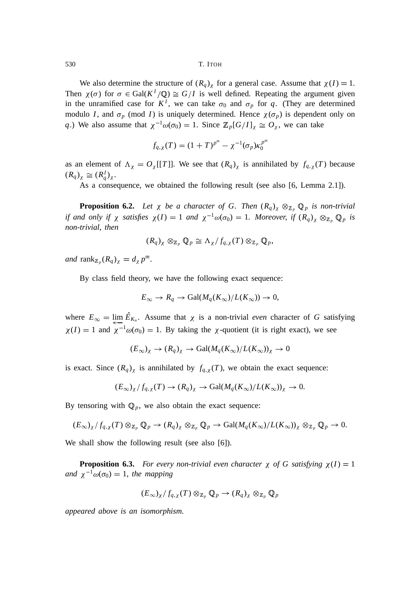We also determine the structure of  $(R_q)$ <sub> $\chi$ </sub> for a general case. Assume that  $\chi(I) = 1$ . Then  $\chi(\sigma)$  for  $\sigma \in \text{Gal}(K^I/\mathbb{Q}) \cong G/I$  is well defined. Repeating the argument given in the unramified case for  $K^I$ , we can take  $\sigma_0$  and  $\sigma_p$  for q. (They are determined modulo *I*, and  $\sigma_p$  (mod *I*) is uniquely determined. Hence  $\chi(\sigma_p)$  is dependent only on *q*.) We also assume that  $\chi^{-1}\omega(\sigma_0) = 1$ . Since  $\mathbb{Z}_p[G/I]_{\chi} \cong O_{\chi}$ , we can take

$$
f_{q,\chi}(T) = (1+T)^{p^m} - \chi^{-1}(\sigma_p)\kappa_0^{p^m}
$$

as an element of  $\Lambda_{\chi} = O_{\chi}[[T]]$ . We see that  $(R_q)_{\chi}$  is annihilated by  $f_{q,\chi}(T)$  because  $(R_q)_\chi \cong (R_q^I)_\chi.$ 

As a consequence, we obtained the following result (see also [6, Lemma 2.1]).

**Proposition 6.2.** Let  $\chi$  be a character of G. Then  $(R_q)_{\chi} \otimes_{\mathbb{Z}_p} \mathbb{Q}_p$  is non-trivial *if and only if*  $\chi$  *satisfies*  $\chi(I) = 1$  *and*  $\chi^{-1}\omega(\sigma_0) = 1$ *. Moreover, if*  $(R_q)_{\chi} \otimes_{\mathbb{Z}_p} \mathbb{Q}_p$  *is non-trivial*, *then*

$$
(R_q)_{\chi} \otimes_{\mathbb{Z}_p} \mathbb{Q}_p \cong \Lambda_{\chi}/f_{q,\chi}(T) \otimes_{\mathbb{Z}_p} \mathbb{Q}_p,
$$

 $and$   $\text{rank}_{\mathbb{Z}_p}(R_q)_{\chi} = d_{\chi} p^m$ .

By class field theory, we have the following exact sequence:

$$
E_{\infty} \to R_q \to \text{Gal}(M_q(K_{\infty})/L(K_{\infty})) \to 0,
$$

where  $E_{\infty} = \lim_{\lambda \to 0} E_{K_n}$ . Assume that  $\chi$  is a non-trivial *even* character of *G* satisfying  $\chi(I) = 1$  and  $\chi^{-1}\omega(\sigma_0) = 1$ . By taking the  $\chi$ -quotient (it is right exact), we see

$$
(E_{\infty})_{\chi} \to (R_q)_{\chi} \to \text{Gal}(M_q(K_{\infty})/L(K_{\infty}))_{\chi} \to 0
$$

is exact. Since  $(R_q)$ <sub>x</sub> is annihilated by  $f_{q, \chi}(T)$ , we obtain the exact sequence:

$$
(E_{\infty})_{\chi}/f_{q,\chi}(T) \to (R_q)_{\chi} \to \text{Gal}(M_q(K_{\infty})/L(K_{\infty}))_{\chi} \to 0.
$$

By tensoring with  $\mathbb{Q}_p$ , we also obtain the exact sequence:

$$
(E_{\infty})_{\chi}/f_{q,\chi}(T)\otimes_{\mathbb{Z}_p}\mathbb{Q}_p\to (R_q)_{\chi}\otimes_{\mathbb{Z}_p}\mathbb{Q}_p\to \text{Gal}(M_q(K_{\infty})/L(K_{\infty}))_{\chi}\otimes_{\mathbb{Z}_p}\mathbb{Q}_p\to 0.
$$

We shall show the following result (see also [6]).

**Proposition 6.3.** *For every non-trivial even character*  $\chi$  *of G satisfying*  $\chi(I) = 1$ *and*  $\chi^{-1}\omega(\sigma_0) = 1$ *, the mapping* 

$$
(E_{\infty})_{\chi}/f_{q,\chi}(T)\otimes_{\mathbb{Z}_p}\mathbb{Q}_p\to (R_q)_{\chi}\otimes_{\mathbb{Z}_p}\mathbb{Q}_p
$$

*appeared above is an isomorphism.*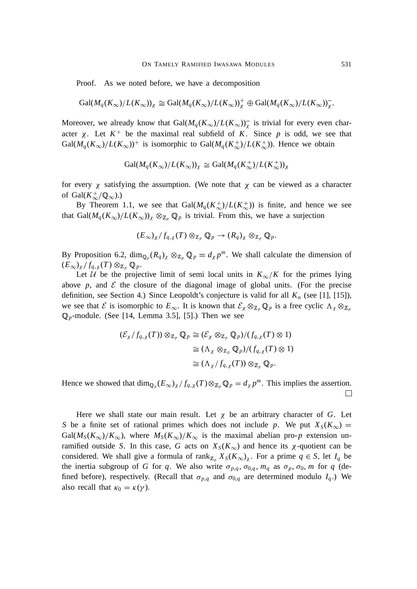Proof. As we noted before, we have a decomposition

$$
\text{Gal}(M_q(K_\infty)/L(K_\infty))_\chi \cong \text{Gal}(M_q(K_\infty)/L(K_\infty))_\chi^+ \oplus \text{Gal}(M_q(K_\infty)/L(K_\infty))_\chi^-.
$$

Moreover, we already know that  $Gal(M_q(K_\infty)/L(K_\infty))^T$  is trivial for every even character  $\chi$ . Let  $K^+$  be the maximal real subfield of K. Since p is odd, we see that  $Gal(M_q(K_\infty)/L(K_\infty))^+$  is isomorphic to  $Gal(M_q(K_\infty^+)/L(K_\infty^+))$ . Hence we obtain

$$
\text{Gal}(M_q(K_\infty)/L(K_\infty))_\chi \cong \text{Gal}(M_q(K_\infty^+)/L(K_\infty^+))_\chi
$$

for every  $\chi$  satisfying the assumption. (We note that  $\chi$  can be viewed as a character of Gal $(K^+_{\infty}/\mathbb{Q}_{\infty})$ .)

By Theorem 1.1, we see that  $Gal(M_q(K_\infty^+)/L(K_\infty^+))$  is finite, and hence we see that  $Gal(M_q(K_\infty)/L(K_\infty))_\chi \otimes_{\mathbb{Z}_p} \mathbb{Q}_p$  is trivial. From this, we have a surjection

$$
(E_{\infty})_{\chi}/f_{q,\chi}(T)\otimes_{\mathbb{Z}_p}\mathbb{Q}_p\to (R_q)_{\chi}\otimes_{\mathbb{Z}_p}\mathbb{Q}_p.
$$

By Proposition 6.2,  $\dim_{\mathbb{Q}_p}(R_q)_{\chi} \otimes_{\mathbb{Z}_p} \mathbb{Q}_p = d_{\chi}p^m$ . We shall calculate the dimension of  $(E_{\infty})_{\chi}/f_{q,\chi}(T) \otimes_{\mathbb{Z}_p} \mathbb{Q}_p.$ 

Let U be the projective limit of semi local units in  $K_{\infty}/K$  for the primes lying above  $p$ , and  $\mathcal E$  the closure of the diagonal image of global units. (For the precise definition, see Section 4.) Since Leopoldt's conjecture is valid for all  $K_n$  (see [1], [15]), we see that  $\mathcal E$  is isomorphic to  $E_\infty$ . It is known that  $\mathcal E_\chi \otimes_{\mathbb Z_p} \mathbb Q_p$  is a free cyclic  $\Lambda_\chi \otimes_{\mathbb Z_p}$  $\mathbb{Q}_p$ -module. (See [14, Lemma 3.5], [5].) Then we see

$$
\begin{aligned} (\mathcal{E}_{\chi}/f_{q,\chi}(T)) \otimes_{\mathbb{Z}_p} \mathbb{Q}_p &\cong (\mathcal{E}_{\chi} \otimes_{\mathbb{Z}_p} \mathbb{Q}_p) / (f_{q,\chi}(T) \otimes 1) \\ &\cong (\Lambda_{\chi} \otimes_{\mathbb{Z}_p} \mathbb{Q}_p) / (f_{q,\chi}(T) \otimes 1) \\ &\cong (\Lambda_{\chi}/f_{q,\chi}(T)) \otimes_{\mathbb{Z}_p} \mathbb{Q}_p. \end{aligned}
$$

Hence we showed that  $\dim_{\mathbb{Q}_p}(E_\infty)_\chi / f_{q,\chi}(T) \otimes_{\mathbb{Z}_p} \mathbb{Q}_p = d_\chi p^m$ . This implies the assertion.  $\Box$ 

Here we shall state our main result. Let  $\chi$  be an arbitrary character of *G*. Let *S* be a finite set of rational primes which does not include *p*. We put  $X_S(K_\infty) =$  $Gal(M_S(K_{\infty})/K_{\infty})$ , where  $M_S(K_{\infty})/K_{\infty}$  is the maximal abelian pro-*p* extension unramified outside *S*. In this case, *G* acts on  $X_S(K_\infty)$  and hence its  $\chi$ -quotient can be considered. We shall give a formula of rank<sub>Z<sub>p</sub></sub>  $X_S(K_\infty)_\chi$ . For a prime  $q \in S$ , let  $I_q$  be the inertia subgroup of *G* for *q*. We also write  $\sigma_{p,q}$ ,  $\sigma_{0,q}$ ,  $m_q$  as  $\sigma_p$ ,  $\sigma_0$ , *m* for *q* (defined before), respectively. (Recall that  $\sigma_{p,q}$  and  $\sigma_{0,q}$  are determined modulo  $I_q$ .) We also recall that  $\kappa_0 = \kappa(\gamma)$ .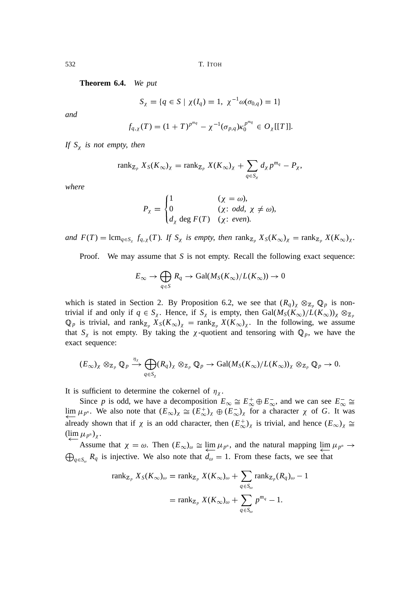**Theorem 6.4.** *We put*

$$
S_{\chi} = \{q \in S \mid \chi(I_q) = 1, \chi^{-1} \omega(\sigma_{0,q}) = 1\}
$$

*and*

$$
f_{q,\chi}(T)=(1+T)^{p^{mq}}-\chi^{-1}(\sigma_{p,q})\kappa_0^{p^{mq}}\in O_{\chi}[[T]].
$$

*If*  $S_\chi$  *is not empty, then* 

$$
\operatorname{rank}_{\mathbb{Z}_p} X_S(K_\infty)_\chi = \operatorname{rank}_{\mathbb{Z}_p} X(K_\infty)_\chi + \sum_{q \in S_\chi} d_\chi p^{m_q} - P_\chi,
$$

*where*

$$
P_{\chi} = \begin{cases} 1 & (\chi = \omega), \\ 0 & (\chi: \text{ odd}, \chi \neq \omega), \\ d_{\chi} \text{ deg } F(T) & (\chi: \text{ even}). \end{cases}
$$

*and*  $F(T) = \text{lcm}_{q \in S_\chi} f_{q,\chi}(T)$ *. If*  $S_\chi$  *is empty, then*  $\text{rank}_{\mathbb{Z}_p} X_S(K_\infty)_\chi = \text{rank}_{\mathbb{Z}_p} X(K_\infty)_\chi$ *.* 

Proof. We may assume that *S* is not empty. Recall the following exact sequence:

$$
E_{\infty} \to \bigoplus_{q \in S} R_q \to \text{Gal}(M_S(K_{\infty})/L(K_{\infty})) \to 0
$$

which is stated in Section 2. By Proposition 6.2, we see that  $(R_q)_{\chi} \otimes_{\mathbb{Z}_p} \mathbb{Q}_p$  is nontrivial if and only if  $q \in S_\chi$ . Hence, if  $S_\chi$  is empty, then  $Gal(M_S(K_\infty)/L(K_\infty))_\chi \otimes_{\mathbb{Z}_p}$  $\mathbb{Q}_p$  is trivial, and rank<sub>Z<sub>p</sub></sub>  $X_S(K_\infty)_\chi = \text{rank}_{Z_p} X(K_\infty)_\chi$ . In the following, we assume that  $S_\chi$  is not empty. By taking the  $\chi$ -quotient and tensoring with  $\mathbb{Q}_p$ , we have the exact sequence:

$$
(E_{\infty})_{\chi} \otimes_{\mathbb{Z}_p} \mathbb{Q}_p \xrightarrow{\eta_{\chi}} \bigoplus_{q \in S_{\chi}} (R_q)_{\chi} \otimes_{\mathbb{Z}_p} \mathbb{Q}_p \to \text{Gal}(M_S(K_{\infty})/L(K_{\infty}))_{\chi} \otimes_{\mathbb{Z}_p} \mathbb{Q}_p \to 0.
$$

It is sufficient to determine the cokernel of  $\eta_x$ .

Since p is odd, we have a decomposition  $E_{\infty} \cong E_{\infty}^+ \oplus E_{\infty}^-$ , and we can see  $E_{\infty}^- \cong$ lim  $\mu_{p^n}$ . We also note that  $(E_{\infty})_{\chi} \cong (E_{\infty}^+)_{\chi} \oplus (E_{\infty}^-)_{\chi}$  for a character  $\chi$  of *G*. It was already shown that if  $\chi$  is an odd character, then  $(E_{\infty})_{\chi}$  is trivial, and hence  $(E_{\infty})_{\chi} \cong$  $(\lim_{p^n}\mu_{p^n})_{\chi}$ .

Assume that  $\chi = \omega$ . Then  $(E_{\infty})_{\omega} \cong \lim_{p \to \infty} \mu_{p^n}$ , and the natural mapping  $\lim_{p \to \infty} \mu_{p^n} \to$  $\bigoplus_{q \in S_{\omega}} R_q$  is injective. We also note that  $d_{\omega} = 1$ . From these facts, we see that

$$
\operatorname{rank}_{\mathbb{Z}_p} X_S(K_\infty)_{\omega} = \operatorname{rank}_{\mathbb{Z}_p} X(K_\infty)_{\omega} + \sum_{q \in S_\omega} \operatorname{rank}_{\mathbb{Z}_p} (R_q)_{\omega} - 1
$$

$$
= \operatorname{rank}_{\mathbb{Z}_p} X(K_\infty)_{\omega} + \sum_{q \in S_\omega} p^{m_q} - 1.
$$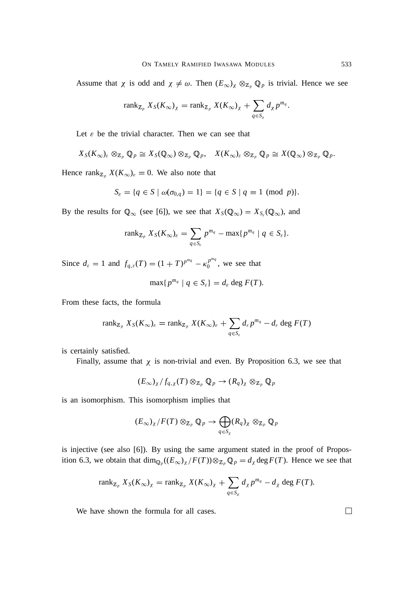Assume that  $\chi$  is odd and  $\chi \neq \omega$ . Then  $(E_{\infty})_{\chi} \otimes_{\mathbb{Z}_p} \mathbb{Q}_p$  is trivial. Hence we see

$$
\operatorname{rank}_{\mathbb{Z}_p} X_S(K_\infty)_\chi = \operatorname{rank}_{\mathbb{Z}_p} X(K_\infty)_\chi + \sum_{q \in S_\chi} d_\chi p^{m_q}.
$$

Let  $\varepsilon$  be the trivial character. Then we can see that

$$
X_S(K_{\infty})_{\varepsilon} \otimes_{\mathbb{Z}_p} \mathbb{Q}_p \cong X_S(\mathbb{Q}_{\infty}) \otimes_{\mathbb{Z}_p} \mathbb{Q}_p, \quad X(K_{\infty})_{\varepsilon} \otimes_{\mathbb{Z}_p} \mathbb{Q}_p \cong X(\mathbb{Q}_{\infty}) \otimes_{\mathbb{Z}_p} \mathbb{Q}_p.
$$

Hence rank<sub> $\mathbb{Z}_p$ </sub>  $X(K_\infty)_\varepsilon = 0$ . We also note that

$$
S_{\varepsilon} = \{q \in S \mid \omega(\sigma_{0,q}) = 1\} = \{q \in S \mid q \equiv 1 \pmod{p}\}.
$$

By the results for  $\mathbb{Q}_{\infty}$  (see [6]), we see that  $X_S(\mathbb{Q}_{\infty}) = X_{S_{\varepsilon}}(\mathbb{Q}_{\infty})$ , and

$$
\operatorname{rank}_{\mathbb{Z}_p} X_S(K_\infty)_\varepsilon = \sum_{q \in S_\varepsilon} p^{m_q} - \max\{p^{m_q} \mid q \in S_\varepsilon\}.
$$

Since  $d_{\varepsilon} = 1$  and  $f_{q,\varepsilon}(T) = (1 + T)^{p^{m_q}} - \kappa_0^{p^{m_q}}$  $\int_{0}^{p-q}$ , we see that

$$
\max\{p^{m_q} \mid q \in S_{\varepsilon}\} = d_{\varepsilon} \deg F(T).
$$

From these facts, the formula

$$
\operatorname{rank}_{\mathbb{Z}_p} X_S(K_\infty)_{\varepsilon} = \operatorname{rank}_{\mathbb{Z}_p} X(K_\infty)_{\varepsilon} + \sum_{q \in S_{\varepsilon}} d_{\varepsilon} p^{m_q} - d_{\varepsilon} \deg F(T)
$$

is certainly satisfied.

Finally, assume that  $\chi$  is non-trivial and even. By Proposition 6.3, we see that

$$
(E_{\infty})_{\chi}/f_{q,\chi}(T)\otimes_{\mathbb{Z}_p}\mathbb{Q}_p\to (R_q)_{\chi}\otimes_{\mathbb{Z}_p}\mathbb{Q}_p
$$

is an isomorphism. This isomorphism implies that

$$
(E_{\infty})_{\chi}/F(T) \otimes_{\mathbb{Z}_p} \mathbb{Q}_p \to \bigoplus_{q \in S_{\chi}} (R_q)_{\chi} \otimes_{\mathbb{Z}_p} \mathbb{Q}_p
$$

is injective (see also [6]). By using the same argument stated in the proof of Proposition 6.3, we obtain that  $\dim_{\mathbb{Q}_p}((E_{\infty})_\chi/F(T)) \otimes_{\mathbb{Z}_p} \mathbb{Q}_p = d_\chi \deg F(T)$ . Hence we see that

$$
\operatorname{rank}_{\mathbb{Z}_p} X_S(K_\infty)_\chi = \operatorname{rank}_{\mathbb{Z}_p} X(K_\infty)_\chi + \sum_{q \in S_\chi} d_\chi p^{m_q} - d_\chi \deg F(T).
$$

We have shown the formula for all cases.

 $\Box$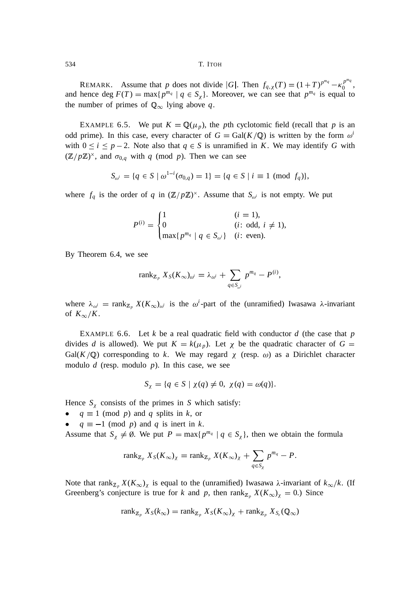REMARK. Assume that *p* does not divide |*G*|. Then  $f_{q, \chi}(T) = (1+T)^{p^{mq}} - \kappa_0^{p^{mq}}$  $\begin{matrix} p^{nq} \\ 0 \end{matrix}$ and hence deg  $F(T) = \max\{p^{m_q} | q \in S_\chi\}$ . Moreover, we can see that  $p^{m_q}$  is equal to the number of primes of  $\mathbb{Q}_{\infty}$  lying above *q*.

EXAMPLE 6.5. We put  $K = \mathbb{Q}(\mu_p)$ , the *p*th cyclotomic field (recall that *p* is an odd prime). In this case, every character of  $G = \text{Gal}(K/\mathbb{Q})$  is written by the form  $\omega^i$ with  $0 \le i \le p-2$ . Note also that  $q \in S$  is unramified in *K*. We may identify *G* with  $(\mathbb{Z}/p\mathbb{Z})^{\times}$ , and  $\sigma_{0,q}$  with *q* (mod *p*). Then we can see

$$
S_{\omega^i} = \{q \in S \mid \omega^{1-i}(\sigma_{0,q}) = 1\} = \{q \in S \mid i \equiv 1 \pmod{f_q}\},\
$$

where  $f_q$  is the order of *q* in  $(\mathbb{Z}/p\mathbb{Z})^{\times}$ . Assume that  $S_{\omega^i}$  is not empty. We put

$$
P^{(i)} = \begin{cases} 1 & (i = 1), \\ 0 & (i: \text{ odd}, i \neq 1), \\ \max\{p^{m_q} \mid q \in S_{\omega^i}\} & (i: \text{ even}). \end{cases}
$$

By Theorem 6.4, we see

$$
\operatorname{rank}_{\mathbb{Z}_p} X_S(K_\infty)_{\omega^i} = \lambda_{\omega^i} + \sum_{q \in S_{\omega^i}} p^{m_q} - P^{(i)},
$$

where  $\lambda_{\omega^i}$  = rank<sub>Z<sub>p</sub></sub>  $X(K_{\infty})_{\omega^i}$  is the  $\omega^i$ -part of the (unramified) Iwasawa  $\lambda$ -invariant of  $K_\infty/K$ .

EXAMPLE 6.6. Let *k* be a real quadratic field with conductor *d* (the case that *p* divides *d* is allowed). We put  $K = k(\mu_p)$ . Let  $\chi$  be the quadratic character of  $G =$  $Gal(K/\mathbb{Q})$  corresponding to *k*. We may regard  $\chi$  (resp.  $\omega$ ) as a Dirichlet character modulo *d* (resp. modulo *p*). In this case, we see

$$
S_{\chi} = \{q \in S \mid \chi(q) \neq 0, \chi(q) = \omega(q)\}.
$$

Hence  $S_\chi$  consists of the primes in *S* which satisfy:

- $q \equiv 1 \pmod{p}$  and *q* splits in *k*, or
- $q \equiv -1 \pmod{p}$  and q is inert in k.

Assume that  $S_\chi \neq \emptyset$ . We put  $P = \max\{p^{m_q} \mid q \in S_\chi\}$ , then we obtain the formula

$$
\operatorname{rank}_{\mathbb{Z}_p} X_S(K_\infty)_\chi = \operatorname{rank}_{\mathbb{Z}_p} X(K_\infty)_\chi + \sum_{q \in S_\chi} p^{m_q} - P.
$$

Note that rank<sub>Z<sub>p</sub></sub>  $X(K_{\infty})$ <sub>X</sub> is equal to the (unramified) Iwasawa  $\lambda$ -invariant of  $k_{\infty}/k$ . (If Greenberg's conjecture is true for *k* and *p*, then  $\text{rank}_{\mathbb{Z}_p} X(K_\infty)_{\chi} = 0$ .) Since

$$
\operatorname{rank}_{\mathbb{Z}_p} X_S(k_\infty) = \operatorname{rank}_{\mathbb{Z}_p} X_S(K_\infty)_\chi + \operatorname{rank}_{\mathbb{Z}_p} X_{S_\varepsilon}(\mathbb{Q}_\infty)
$$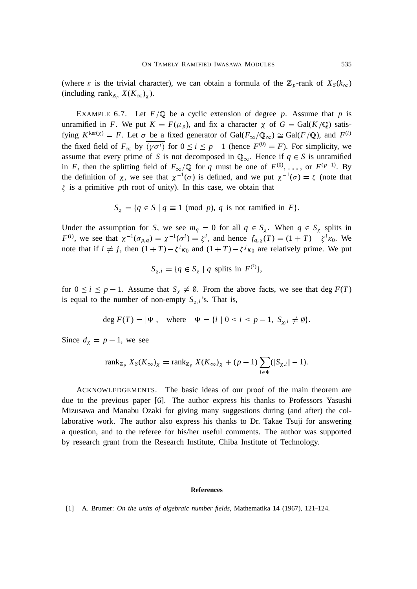(where  $\varepsilon$  is the trivial character), we can obtain a formula of the  $\mathbb{Z}_p$ -rank of  $X_S(k_\infty)$ (including rank<sub>Z</sub><sub>p</sub></sub>  $X(K_{\infty})$ <sub>X</sub>).

EXAMPLE 6.7. Let  $F/Q$  be a cyclic extension of degree p. Assume that p is unramified in *F*. We put  $K = F(\mu_p)$ , and fix a character  $\chi$  of  $G = \text{Gal}(K/\mathbb{Q})$  satisfying  $K^{\text{ker}(\chi)} = F$ . Let  $\sigma$  be a fixed generator of  $Gal(F_{\infty}/\mathbb{Q}_{\infty}) \cong Gal(F/\mathbb{Q})$ , and  $F^{(i)}$ the fixed field of  $F_{\infty}$  by  $\overline{\langle \gamma \sigma^i \rangle}$  for  $0 \le i \le p-1$  (hence  $F^{(0)} = F$ ). For simplicity, we assume that every prime of *S* is not decomposed in  $\mathbb{Q}_{\infty}$ . Hence if  $q \in S$  is unramified in *F*, then the splitting field of  $F_{\infty}/\mathbb{Q}$  for *q* must be one of  $F^{(0)}, \ldots$ , or  $F^{(p-1)}$ . By the definition of  $\chi$ , we see that  $\chi^{-1}(\sigma)$  is defined, and we put  $\chi^{-1}(\sigma) = \zeta$  (note that  $\zeta$  is a primitive *p*th root of unity). In this case, we obtain that

$$
S_{\chi} = \{q \in S \mid q \equiv 1 \pmod{p}, q \text{ is not ramified in } F\}.
$$

Under the assumption for *S*, we see  $m_q = 0$  for all  $q \in S_\chi$ . When  $q \in S_\chi$  splits in *F*<sup>(*i*</sup>), we see that  $\chi^{-1}(\sigma_{p,q}) = \chi^{-1}(\sigma^i) = \zeta^i$ , and hence  $f_{q,\chi}(T) = (1 + T) - \zeta^i \kappa_0$ . We note that if  $i \neq j$ , then  $(1 + T) - \zeta^{i} \kappa_0$  and  $(1 + T) - \zeta^{j} \kappa_0$  are relatively prime. We put

$$
S_{\chi,i} = \{q \in S_{\chi} \mid q \text{ splits in } F^{(i)}\},\
$$

for  $0 \le i \le p - 1$ . Assume that  $S_{\chi} \neq \emptyset$ . From the above facts, we see that deg  $F(T)$ is equal to the number of non-empty  $S_{\chi,i}$ 's. That is,

$$
\deg F(T) = |\Psi|, \quad \text{where} \quad \Psi = \{i \mid 0 \le i \le p-1, \ S_{\chi,i} \neq \emptyset\}.
$$

Since  $d_{\chi} = p - 1$ , we see

$$
\operatorname{rank}_{\mathbb{Z}_p} X_S(K_\infty)_\chi = \operatorname{rank}_{\mathbb{Z}_p} X(K_\infty)_\chi + (p-1) \sum_{i \in \Psi} (|S_{\chi,i}| - 1).
$$

ACKNOWLEDGEMENTS. The basic ideas of our proof of the main theorem are due to the previous paper [6]. The author express his thanks to Professors Yasushi Mizusawa and Manabu Ozaki for giving many suggestions during (and after) the collaborative work. The author also express his thanks to Dr. Takae Tsuji for answering a question, and to the referee for his/her useful comments. The author was supported by research grant from the Research Institute, Chiba Institute of Technology.

#### **References**

[1] A. Brumer: *On the units of algebraic number fields*, Mathematika **14** (1967), 121–124.